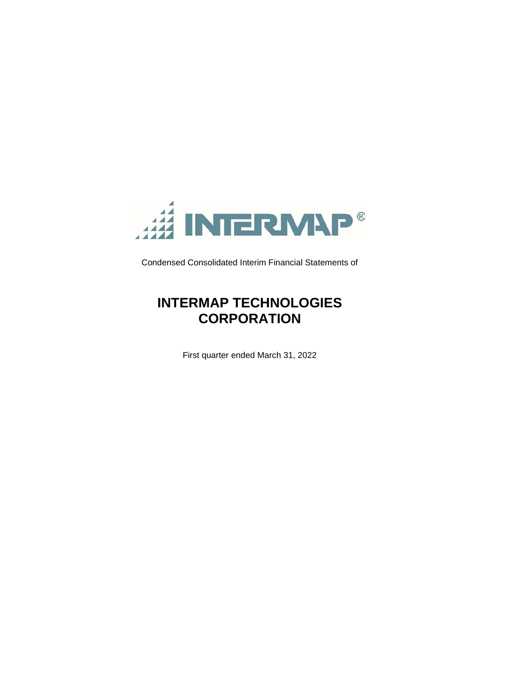

Condensed Consolidated Interim Financial Statements of

# **INTERMAP TECHNOLOGIES CORPORATION**

First quarter ended March 31, 2022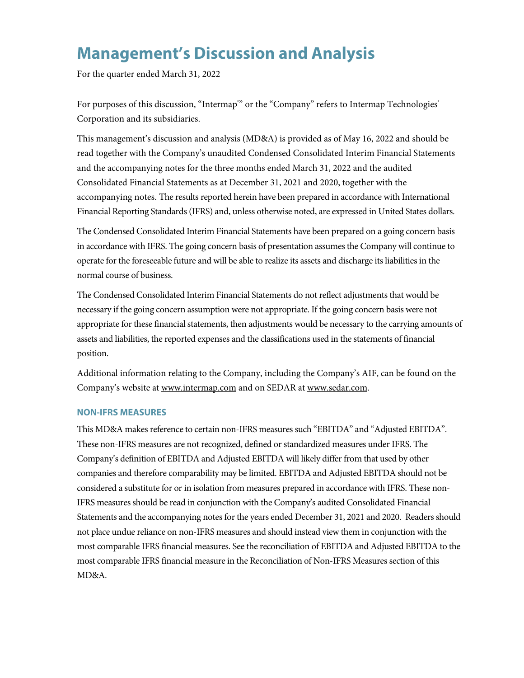# **Management's Discussion and Analysis**

For the quarter ended March 31, 2022

For purposes of this discussion, "Intermap"' or the "Company" refers to Intermap Technologies<sup>®</sup> Corporation and its subsidiaries.

This management's discussion and analysis (MD&A) is provided as of May 16, 2022 and should be read together with the Company's unaudited Condensed Consolidated Interim Financial Statements and the accompanying notes for the three months ended March 31, 2022 and the audited Consolidated Financial Statements as at December 31, 2021 and 2020, together with the accompanying notes. The results reported herein have been prepared in accordance with International Financial Reporting Standards (IFRS) and, unless otherwise noted, are expressed in United States dollars.

The Condensed Consolidated Interim Financial Statements have been prepared on a going concern basis in accordance with IFRS. The going concern basis of presentation assumes the Company will continue to operate for the foreseeable future and will be able to realize its assets and discharge its liabilities in the normal course of business.

The Condensed Consolidated Interim Financial Statements do not reflect adjustments that would be necessary if the going concern assumption were not appropriate. If the going concern basis were not appropriate for these financial statements, then adjustments would be necessary to the carrying amounts of assets and liabilities, the reported expenses and the classifications used in the statements of financial position.

Additional information relating to the Company, including the Company's AIF, can be found on the Company's website at www.intermap.com and on SEDAR at www.sedar.com.

## **NON-IFRS MEASURES**

This MD&A makes reference to certain non-IFRS measures such "EBITDA" and "Adjusted EBITDA". These non-IFRS measures are not recognized, defined or standardized measures under IFRS. The Company's definition of EBITDA and Adjusted EBITDA will likely differ from that used by other companies and therefore comparability may be limited. EBITDA and Adjusted EBITDA should not be considered a substitute for or in isolation from measures prepared in accordance with IFRS. These non-IFRS measures should be read in conjunction with the Company's audited Consolidated Financial Statements and the accompanying notes for the years ended December 31, 2021 and 2020. Readers should not place undue reliance on non-IFRS measures and should instead view them in conjunction with the most comparable IFRS financial measures. See the reconciliation of EBITDA and Adjusted EBITDA to the most comparable IFRS financial measure in the Reconciliation of Non-IFRS Measures section of this MD&A.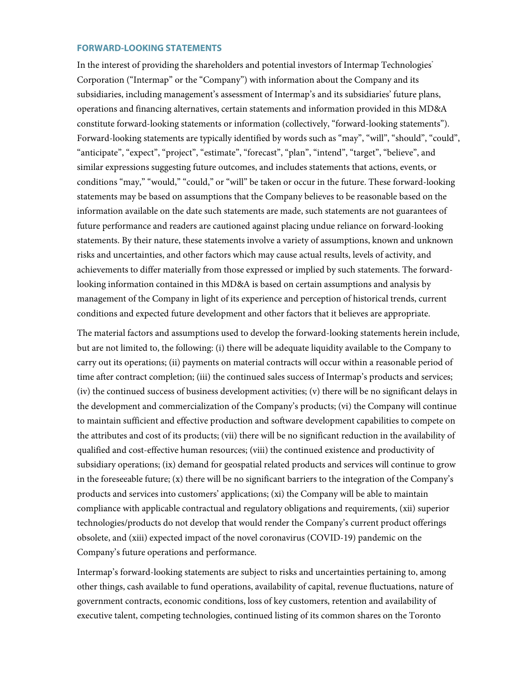## **FORWARD-LOOKING STATEMENTS**

In the interest of providing the shareholders and potential investors of Intermap Technologies<sup>®</sup> Corporation ("Intermap" or the "Company") with information about the Company and its subsidiaries, including management's assessment of Intermap's and its subsidiaries' future plans, operations and financing alternatives, certain statements and information provided in this MD&A constitute forward-looking statements or information (collectively, "forward-looking statements"). Forward-looking statements are typically identified by words such as "may", "will", "should", "could", "anticipate", "expect", "project", "estimate", "forecast", "plan", "intend", "target", "believe", and similar expressions suggesting future outcomes, and includes statements that actions, events, or conditions "may," "would," "could," or "will" be taken or occur in the future. These forward-looking statements may be based on assumptions that the Company believes to be reasonable based on the information available on the date such statements are made, such statements are not guarantees of future performance and readers are cautioned against placing undue reliance on forward-looking statements. By their nature, these statements involve a variety of assumptions, known and unknown risks and uncertainties, and other factors which may cause actual results, levels of activity, and achievements to differ materially from those expressed or implied by such statements. The forwardlooking information contained in this MD&A is based on certain assumptions and analysis by management of the Company in light of its experience and perception of historical trends, current conditions and expected future development and other factors that it believes are appropriate.

The material factors and assumptions used to develop the forward-looking statements herein include, but are not limited to, the following: (i) there will be adequate liquidity available to the Company to carry out its operations; (ii) payments on material contracts will occur within a reasonable period of time after contract completion; (iii) the continued sales success of Intermap's products and services; (iv) the continued success of business development activities; (v) there will be no significant delays in the development and commercialization of the Company's products; (vi) the Company will continue to maintain sufficient and effective production and software development capabilities to compete on the attributes and cost of its products; (vii) there will be no significant reduction in the availability of qualified and cost-effective human resources; (viii) the continued existence and productivity of subsidiary operations; (ix) demand for geospatial related products and services will continue to grow in the foreseeable future; (x) there will be no significant barriers to the integration of the Company's products and services into customers' applications; (xi) the Company will be able to maintain compliance with applicable contractual and regulatory obligations and requirements, (xii) superior technologies/products do not develop that would render the Company's current product offerings obsolete, and (xiii) expected impact of the novel coronavirus (COVID-19) pandemic on the Company's future operations and performance.

Intermap's forward-looking statements are subject to risks and uncertainties pertaining to, among other things, cash available to fund operations, availability of capital, revenue fluctuations, nature of government contracts, economic conditions, loss of key customers, retention and availability of executive talent, competing technologies, continued listing of its common shares on the Toronto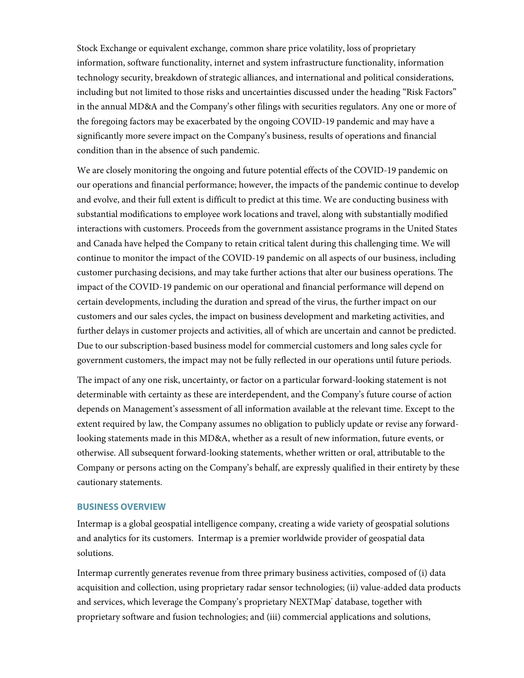Stock Exchange or equivalent exchange, common share price volatility, loss of proprietary information, software functionality, internet and system infrastructure functionality, information technology security, breakdown of strategic alliances, and international and political considerations, including but not limited to those risks and uncertainties discussed under the heading "Risk Factors" in the annual MD&A and the Company's other filings with securities regulators. Any one or more of the foregoing factors may be exacerbated by the ongoing COVID-19 pandemic and may have a significantly more severe impact on the Company's business, results of operations and financial condition than in the absence of such pandemic.

We are closely monitoring the ongoing and future potential effects of the COVID-19 pandemic on our operations and financial performance; however, the impacts of the pandemic continue to develop and evolve, and their full extent is difficult to predict at this time. We are conducting business with substantial modifications to employee work locations and travel, along with substantially modified interactions with customers. Proceeds from the government assistance programs in the United States and Canada have helped the Company to retain critical talent during this challenging time. We will continue to monitor the impact of the COVID-19 pandemic on all aspects of our business, including customer purchasing decisions, and may take further actions that alter our business operations. The impact of the COVID-19 pandemic on our operational and financial performance will depend on certain developments, including the duration and spread of the virus, the further impact on our customers and our sales cycles, the impact on business development and marketing activities, and further delays in customer projects and activities, all of which are uncertain and cannot be predicted. Due to our subscription-based business model for commercial customers and long sales cycle for government customers, the impact may not be fully reflected in our operations until future periods.

The impact of any one risk, uncertainty, or factor on a particular forward-looking statement is not determinable with certainty as these are interdependent, and the Company's future course of action depends on Management's assessment of all information available at the relevant time. Except to the extent required by law, the Company assumes no obligation to publicly update or revise any forwardlooking statements made in this MD&A, whether as a result of new information, future events, or otherwise. All subsequent forward-looking statements, whether written or oral, attributable to the Company or persons acting on the Company's behalf, are expressly qualified in their entirety by these cautionary statements.

## **BUSINESS OVERVIEW**

Intermap is a global geospatial intelligence company, creating a wide variety of geospatial solutions and analytics for its customers. Intermap is a premier worldwide provider of geospatial data solutions.

Intermap currently generates revenue from three primary business activities, composed of (i) data acquisition and collection, using proprietary radar sensor technologies; (ii) value-added data products and services, which leverage the Company's proprietary NEXTMap<sup>+</sup> database, together with proprietary software and fusion technologies; and (iii) commercial applications and solutions,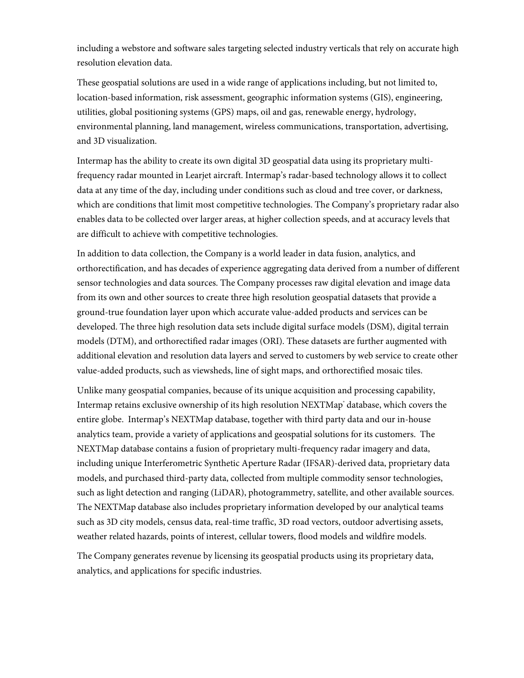including a webstore and software sales targeting selected industry verticals that rely on accurate high resolution elevation data.

These geospatial solutions are used in a wide range of applications including, but not limited to, location-based information, risk assessment, geographic information systems (GIS), engineering, utilities, global positioning systems (GPS) maps, oil and gas, renewable energy, hydrology, environmental planning, land management, wireless communications, transportation, advertising, and 3D visualization.

Intermap has the ability to create its own digital 3D geospatial data using its proprietary multifrequency radar mounted in Learjet aircraft. Intermap's radar-based technology allows it to collect data at any time of the day, including under conditions such as cloud and tree cover, or darkness, which are conditions that limit most competitive technologies. The Company's proprietary radar also enables data to be collected over larger areas, at higher collection speeds, and at accuracy levels that are difficult to achieve with competitive technologies.

In addition to data collection, the Company is a world leader in data fusion, analytics, and orthorectification, and has decades of experience aggregating data derived from a number of different sensor technologies and data sources. The Company processes raw digital elevation and image data from its own and other sources to create three high resolution geospatial datasets that provide a ground-true foundation layer upon which accurate value-added products and services can be developed. The three high resolution data sets include digital surface models (DSM), digital terrain models (DTM), and orthorectified radar images (ORI). These datasets are further augmented with additional elevation and resolution data layers and served to customers by web service to create other value-added products, such as viewsheds, line of sight maps, and orthorectified mosaic tiles.

Unlike many geospatial companies, because of its unique acquisition and processing capability, Intermap retains exclusive ownership of its high resolution NEXTMap° database, which covers the entire globe. Intermap's NEXTMap database, together with third party data and our in-house analytics team, provide a variety of applications and geospatial solutions for its customers. The NEXTMap database contains a fusion of proprietary multi-frequency radar imagery and data, including unique Interferometric Synthetic Aperture Radar (IFSAR)-derived data, proprietary data models, and purchased third-party data, collected from multiple commodity sensor technologies, such as light detection and ranging (LiDAR), photogrammetry, satellite, and other available sources. The NEXTMap database also includes proprietary information developed by our analytical teams such as 3D city models, census data, real-time traffic, 3D road vectors, outdoor advertising assets, weather related hazards, points of interest, cellular towers, flood models and wildfire models.

The Company generates revenue by licensing its geospatial products using its proprietary data, analytics, and applications for specific industries.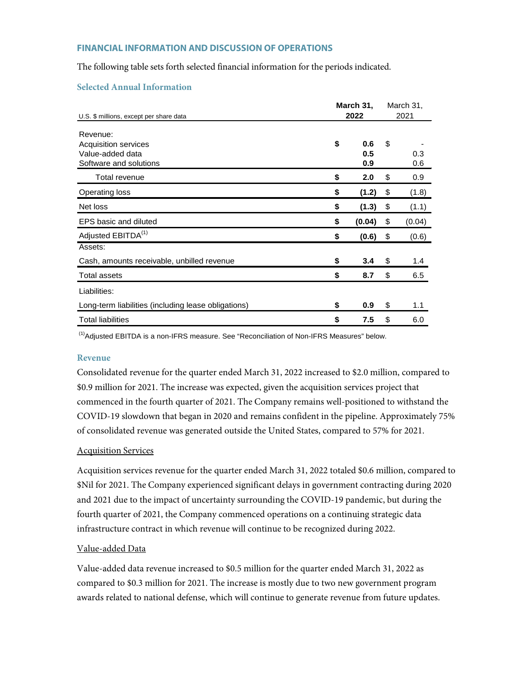## **FINANCIAL INFORMATION AND DISCUSSION OF OPERATIONS**

The following table sets forth selected financial information for the periods indicated.

## **Selected Annual Information**

|                                                                                | March 31,               |    |            |  |  |
|--------------------------------------------------------------------------------|-------------------------|----|------------|--|--|
| U.S. \$ millions, except per share data                                        | 2022                    |    | 2021       |  |  |
| Revenue:<br>Acquisition services<br>Value-added data<br>Software and solutions | \$<br>0.6<br>0.5<br>0.9 | \$ | 0.3<br>0.6 |  |  |
| Total revenue                                                                  | \$<br>2.0               | \$ | 0.9        |  |  |
| <b>Operating loss</b>                                                          | \$<br>(1.2)             | \$ | (1.8)      |  |  |
| Net loss                                                                       | \$<br>(1.3)             | \$ | (1.1)      |  |  |
| EPS basic and diluted                                                          | \$<br>(0.04)            | \$ | (0.04)     |  |  |
| Adjusted EBITDA <sup>(1)</sup>                                                 | \$<br>(0.6)             | \$ | (0.6)      |  |  |
| Assets:                                                                        |                         |    |            |  |  |
| Cash, amounts receivable, unbilled revenue                                     | \$<br>3.4               | \$ | 1.4        |  |  |
| <b>Total assets</b>                                                            | \$<br>8.7               | \$ | 6.5        |  |  |
| Liabilities:                                                                   |                         |    |            |  |  |
| Long-term liabilities (including lease obligations)                            | \$<br>0.9               | \$ | 1.1        |  |  |
| <b>Total liabilities</b>                                                       | \$<br>7.5               | \$ | 6.0        |  |  |

 $<sup>(1)</sup>$ Adjusted EBITDA is a non-IFRS measure. See "Reconciliation of Non-IFRS Measures" below.</sup>

### **Revenue**

Consolidated revenue for the quarter ended March 31, 2022 increased to \$2.0 million, compared to \$0.9 million for 2021. The increase was expected, given the acquisition services project that commenced in the fourth quarter of 2021. The Company remains well-positioned to withstand the COVID-19 slowdown that began in 2020 and remains confident in the pipeline. Approximately 75% of consolidated revenue was generated outside the United States, compared to 57% for 2021.

## Acquisition Services

Acquisition services revenue for the quarter ended March 31, 2022 totaled \$0.6 million, compared to \$Nil for 2021. The Company experienced significant delays in government contracting during 2020 and 2021 due to the impact of uncertainty surrounding the COVID-19 pandemic, but during the fourth quarter of 2021, the Company commenced operations on a continuing strategic data infrastructure contract in which revenue will continue to be recognized during 2022.

## Value-added Data

Value-added data revenue increased to \$0.5 million for the quarter ended March 31, 2022 as compared to \$0.3 million for 2021. The increase is mostly due to two new government program awards related to national defense, which will continue to generate revenue from future updates.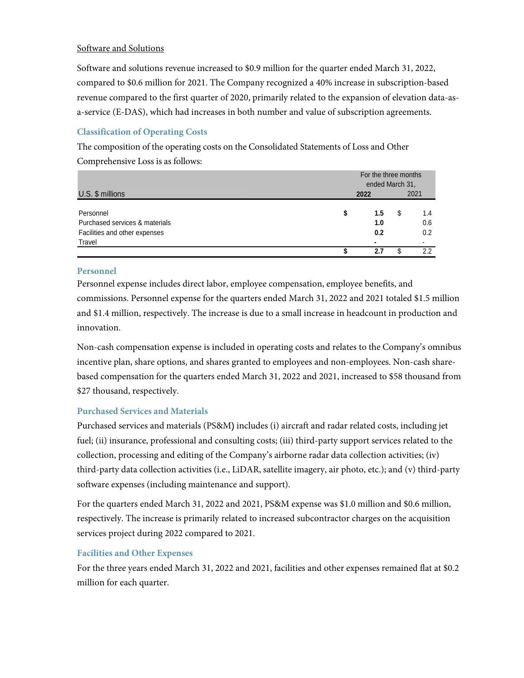# Software and Solutions

Software and solutions revenue increased to \$0.9 million for the quarter ended March 31, 2022, compared to \$0.6 million for 2021. The Company recognized a 40% increase in subscription-based revenue compared to the first quarter of 2020, primarily related to the expansion of elevation data-asa-service (E-DAS), which had increases in both number and value of subscription agreements.

# **Classification of Operating Costs**

The composition of the operating costs on the Consolidated Statements of Loss and Other Comprehensive Loss is as follows:

|                                |    | For the three months<br>ended March 31, |    |                |
|--------------------------------|----|-----------------------------------------|----|----------------|
| $U.S.$ \$ millions             |    | 2022                                    |    | 2021           |
| Personnel                      | \$ | 1.5                                     | \$ | 1.4            |
| Purchased services & materials |    | 1.0                                     |    | 0.6            |
| Facilities and other expenses  |    | 0.2                                     |    | 0.2            |
| Travel                         |    | ۰                                       |    | $\blacksquare$ |
|                                |    | 2.7                                     |    | 2.2            |

## **Personnel**

Personnel expense includes direct labor, employee compensation, employee benefits, and commissions. Personnel expense for the quarters ended March 31, 2022 and 2021 totaled \$1.5 million and \$1.4 million, respectively. The increase is due to a small increase in headcount in production and innovation.

Non-cash compensation expense is included in operating costs and relates to the Company's omnibus incentive plan, share options, and shares granted to employees and non-employees. Non-cash sharebased compensation for the quarters ended March 31, 2022 and 2021, increased to \$58 thousand from \$27 thousand, respectively.

# **Purchased Services and Materials**

Purchased services and materials (PS&M) includes (i) aircraft and radar related costs, including jet fuel; (ii) insurance, professional and consulting costs; (iii) third-party support services related to the collection, processing and editing of the Company's airborne radar data collection activities; (iv) third-party data collection activities (i.e., LiDAR, satellite imagery, air photo, etc.); and (v) third-party software expenses (including maintenance and support).

For the quarters ended March 31, 2022 and 2021, PS&M expense was \$1.0 million and \$0.6 million, respectively. The increase is primarily related to increased subcontractor charges on the acquisition services project during 2022 compared to 2021.

# **Facilities and Other Expenses**

For the three years ended March 31, 2022 and 2021, facilities and other expenses remained flat at \$0.2 million for each quarter.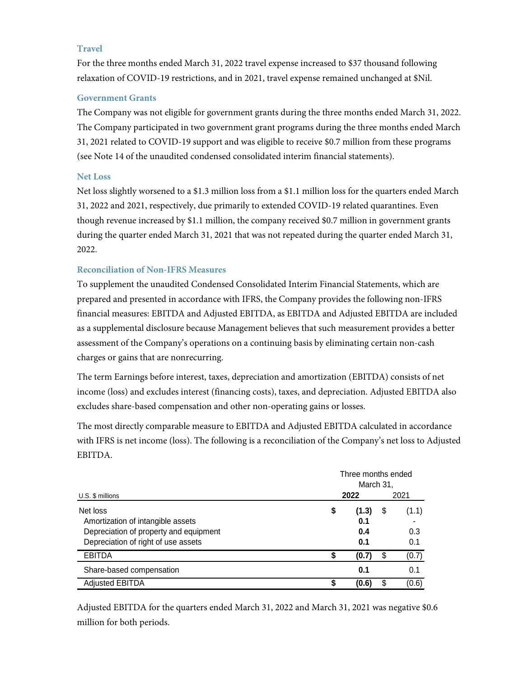# **Travel**

For the three months ended March 31, 2022 travel expense increased to \$37 thousand following relaxation of COVID-19 restrictions, and in 2021, travel expense remained unchanged at \$Nil.

## **Government Grants**

The Company was not eligible for government grants during the three months ended March 31, 2022. The Company participated in two government grant programs during the three months ended March 31, 2021 related to COVID-19 support and was eligible to receive \$0.7 million from these programs (see Note 14 of the unaudited condensed consolidated interim financial statements).

# **Net Loss**

Net loss slightly worsened to a \$1.3 million loss from a \$1.1 million loss for the quarters ended March 31, 2022 and 2021, respectively, due primarily to extended COVID-19 related quarantines. Even though revenue increased by \$1.1 million, the company received \$0.7 million in government grants during the quarter ended March 31, 2021 that was not repeated during the quarter ended March 31, 2022.

# **Reconciliation of Non-IFRS Measures**

To supplement the unaudited Condensed Consolidated Interim Financial Statements, which are prepared and presented in accordance with IFRS, the Company provides the following non-IFRS financial measures: EBITDA and Adjusted EBITDA, as EBITDA and Adjusted EBITDA are included as a supplemental disclosure because Management believes that such measurement provides a better assessment of the Company's operations on a continuing basis by eliminating certain non-cash charges or gains that are nonrecurring.

The term Earnings before interest, taxes, depreciation and amortization (EBITDA) consists of net income (loss) and excludes interest (financing costs), taxes, and depreciation. Adjusted EBITDA also excludes share-based compensation and other non-operating gains or losses.

The most directly comparable measure to EBITDA and Adjusted EBITDA calculated in accordance with IFRS is net income (loss). The following is a reconciliation of the Company's net loss to Adjusted EBITDA.

|                                                                                                                                | Three months ended<br>March 31, |                            |    |                     |  |  |  |  |  |
|--------------------------------------------------------------------------------------------------------------------------------|---------------------------------|----------------------------|----|---------------------|--|--|--|--|--|
| U.S. \$ millions                                                                                                               | 2022                            |                            |    | 2021                |  |  |  |  |  |
| Net loss<br>Amortization of intangible assets<br>Depreciation of property and equipment<br>Depreciation of right of use assets | \$                              | (1.3)<br>0.1<br>0.4<br>0.1 | \$ | (1.1)<br>0.3<br>0.1 |  |  |  |  |  |
| <b>EBITDA</b>                                                                                                                  | S                               | (0.7)                      | \$ | (0.7)               |  |  |  |  |  |
| Share-based compensation                                                                                                       |                                 | 0.1                        |    | 0.1                 |  |  |  |  |  |
| <b>Adjusted EBITDA</b>                                                                                                         | ς                               | (0.6)                      | ደ  | (0.6)               |  |  |  |  |  |

Adjusted EBITDA for the quarters ended March 31, 2022 and March 31, 2021 was negative \$0.6 million for both periods.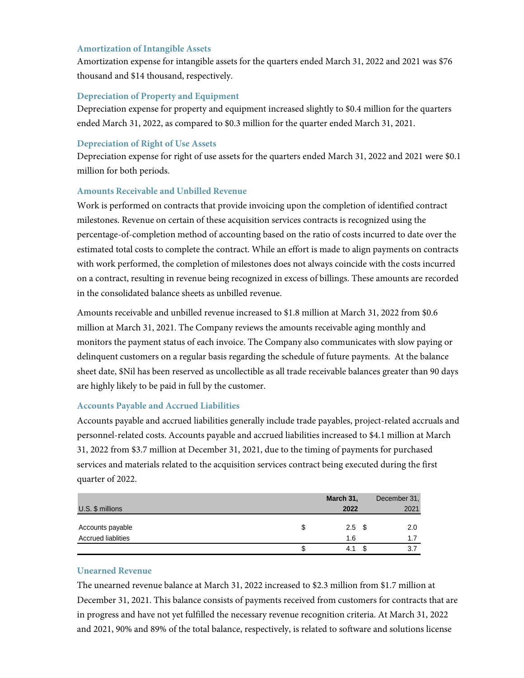## **Amortization of Intangible Assets**

Amortization expense for intangible assets for the quarters ended March 31, 2022 and 2021 was \$76 thousand and \$14 thousand, respectively.

# **Depreciation of Property and Equipment**

Depreciation expense for property and equipment increased slightly to \$0.4 million for the quarters ended March 31, 2022, as compared to \$0.3 million for the quarter ended March 31, 2021.

## **Depreciation of Right of Use Assets**

Depreciation expense for right of use assets for the quarters ended March 31, 2022 and 2021 were \$0.1 million for both periods.

## **Amounts Receivable and Unbilled Revenue**

Work is performed on contracts that provide invoicing upon the completion of identified contract milestones. Revenue on certain of these acquisition services contracts is recognized using the percentage-of-completion method of accounting based on the ratio of costs incurred to date over the estimated total costs to complete the contract. While an effort is made to align payments on contracts with work performed, the completion of milestones does not always coincide with the costs incurred on a contract, resulting in revenue being recognized in excess of billings. These amounts are recorded in the consolidated balance sheets as unbilled revenue.

Amounts receivable and unbilled revenue increased to \$1.8 million at March 31, 2022 from \$0.6 million at March 31, 2021. The Company reviews the amounts receivable aging monthly and monitors the payment status of each invoice. The Company also communicates with slow paying or delinquent customers on a regular basis regarding the schedule of future payments. At the balance sheet date, \$Nil has been reserved as uncollectible as all trade receivable balances greater than 90 days are highly likely to be paid in full by the customer.

## **Accounts Payable and Accrued Liabilities**

Accounts payable and accrued liabilities generally include trade payables, project-related accruals and personnel-related costs. Accounts payable and accrued liabilities increased to \$4.1 million at March 31, 2022 from \$3.7 million at December 31, 2021, due to the timing of payments for purchased services and materials related to the acquisition services contract being executed during the first quarter of 2022.

|                           | March 31,  | December 31, |
|---------------------------|------------|--------------|
| U.S. \$ millions          | 2022       | 2021         |
|                           |            |              |
| Accounts payable          | $2.5\quad$ | 2.0          |
| <b>Accrued liablities</b> | 1.6        | 1.7          |
|                           | 4.1        | 3.7          |

## **Unearned Revenue**

The unearned revenue balance at March 31, 2022 increased to \$2.3 million from \$1.7 million at December 31, 2021. This balance consists of payments received from customers for contracts that are in progress and have not yet fulfilled the necessary revenue recognition criteria. At March 31, 2022 and 2021, 90% and 89% of the total balance, respectively, is related to software and solutions license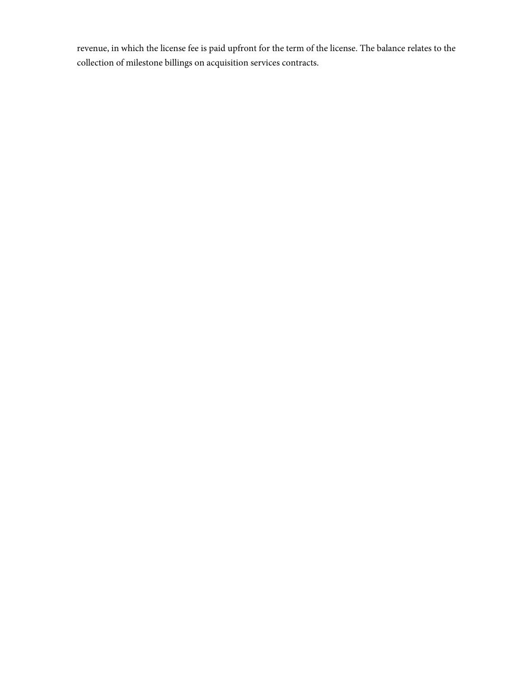revenue, in which the license fee is paid upfront for the term of the license. The balance relates to the collection of milestone billings on acquisition services contracts.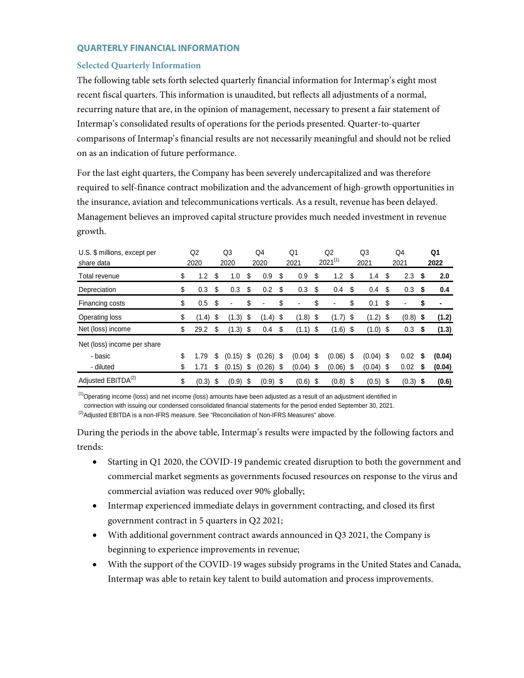## **QUARTERLY FINANCIAL INFORMATION**

# **Selected Quarterly Information**

The following table sets forth selected quarterly financial information for Intermap's eight most recent fiscal quarters. This information is unaudited, but reflects all adjustments of a normal, recurring nature that are, in the opinion of management, necessary to present a fair statement of Intermap's consolidated results of operations for the periods presented. Quarter-to-quarter comparisons of Intermap's financial results are not necessarily meaningful and should not be relied on as an indication of future performance.

For the last eight quarters, the Company has been severely undercapitalized and was therefore required to self-finance contract mobilization and the advancement of high-growth opportunities in the insurance, aviation and telecommunications verticals. As a result, revenue has been delayed. Management believes an improved capital structure provides much needed investment in revenue growth.

| U.S. \$ millions, except per<br>share data | Q2<br>2020  |      | Q <sub>3</sub><br>2020 | Q4<br>2020        |      | Q1<br>2021  |      | Q <sub>2</sub><br>$2021^{(1)}$ |      | Q3<br>2021  |      | Q4<br>2021 |     | Q1<br>2022 |
|--------------------------------------------|-------------|------|------------------------|-------------------|------|-------------|------|--------------------------------|------|-------------|------|------------|-----|------------|
| Total revenue                              | \$<br>1.2   | \$   | 1.0                    | \$<br>0.9         | \$   | 0.9         | S    | 1.2                            | S    | 1.4         | S    | 2.3        | -\$ | 2.0        |
| Depreciation                               | \$<br>0.3   | \$   | 0.3                    | \$<br>0.2         | \$   | 0.3         | S    | 0.4                            | S    | 0.4         | S    | 0.3        | S,  | 0.4        |
| Financing costs                            | \$<br>0.5   | S    | $\overline{a}$         | \$<br>-           | \$   | ٠           | \$   | $\blacksquare$                 | \$   | 0.1         | \$   | ٠          | \$  | ٠          |
| Operating loss                             | \$<br>(1.4) | S    | $(1.3)$ \$             | $(1.4)$ \$        |      | $(1.8)$ \$  |      | $(1.7)$ \$                     |      | (1.2)       | - \$ | $(0.8)$ \$ |     | (1.2)      |
| Net (loss) income                          | \$<br>29.2  | S    | $(1.3)$ \$             | 0.4               | \$   | $(1.1)$ \$  |      | $(1.6)$ \$                     |      | (1.0)       | - \$ | 0.3        | S   | (1.3)      |
| Net (loss) income per share                |             |      |                        |                   |      |             |      |                                |      |             |      |            |     |            |
| - basic                                    | \$<br>1.79  | S    | (0.15)                 | \$<br>(0.26)      | - \$ | $(0.04)$ \$ |      | (0.06)                         | - \$ | $(0.04)$ \$ |      | 0.02       | S   | (0.04)     |
| - diluted                                  | \$<br>1.71  | \$   | (0.15)                 | \$<br>$(0.26)$ \$ |      | $(0.04)$ \$ |      | (0.06)                         | - \$ | (0.04)      | - \$ | 0.02       | S   | (0.04)     |
| Adjusted EBITDA <sup>(2)</sup>             | \$<br>(0.3) | - \$ | $(0.9)$ \$             | $(0.9)$ \$        |      | (0.6)       | - \$ | (0.8)                          | - \$ | (0.5)       | - \$ | $(0.3)$ \$ |     | (0.6)      |

 $<sup>(1)</sup>$  Operating income (loss) and net income (loss) amounts have been adjusted as a result of an adjustment identified in</sup>

connection with issuing our condensed consolidated financial statements for the period ended September 30, 2021.

 $^{(2)}$ Adiusted EBITDA is a non-IFRS measure. See "Reconciliation of Non-IFRS Measures" above.

During the periods in the above table, Intermap's results were impacted by the following factors and trends:

- Starting in Q1 2020, the COVID-19 pandemic created disruption to both the government and commercial market segments as governments focused resources on response to the virus and commercial aviation was reduced over 90% globally;
- Intermap experienced immediate delays in government contracting, and closed its first government contract in 5 quarters in Q2 2021;
- With additional government contract awards announced in Q3 2021, the Company is beginning to experience improvements in revenue;
- With the support of the COVID-19 wages subsidy programs in the United States and Canada, Intermap was able to retain key talent to build automation and process improvements.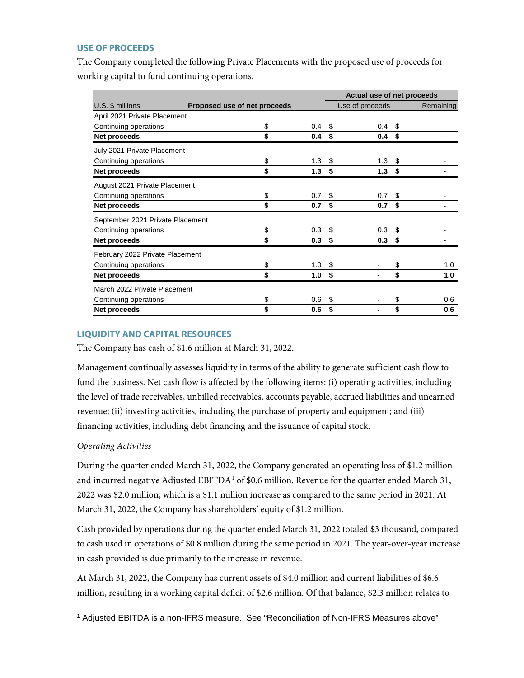## **USE OF PROCEEDS**

The Company completed the following Private Placements with the proposed use of proceeds for working capital to fund continuing operations.

|                                  |                              |                  | Actual use of net proceeds |                  |      |           |  |  |  |  |
|----------------------------------|------------------------------|------------------|----------------------------|------------------|------|-----------|--|--|--|--|
| U.S. \$ millions                 | Proposed use of net proceeds |                  |                            | Use of proceeds  |      | Remaining |  |  |  |  |
| April 2021 Private Placement     |                              |                  |                            |                  |      |           |  |  |  |  |
| Continuing operations            | \$                           | 0.4              | \$.                        | 0.4 <sup>5</sup> |      |           |  |  |  |  |
| Net proceeds                     | \$                           | 0.4              | \$                         | 0.4              | - \$ |           |  |  |  |  |
| July 2021 Private Placement      |                              |                  |                            |                  |      |           |  |  |  |  |
| Continuing operations            | \$                           | 1.3 <sup>5</sup> |                            | $1.3 \quad $$    |      |           |  |  |  |  |
| Net proceeds                     | \$                           | 1.3 <sup>5</sup> |                            | 1.3 <sup>5</sup> |      |           |  |  |  |  |
| August 2021 Private Placement    |                              |                  |                            |                  |      |           |  |  |  |  |
| Continuing operations            | \$                           | 0.7              | \$                         | 0.7 <sup>5</sup> |      |           |  |  |  |  |
| Net proceeds                     | \$                           | 0.7              | \$                         | 0.7              | \$   |           |  |  |  |  |
| September 2021 Private Placement |                              |                  |                            |                  |      |           |  |  |  |  |
| Continuing operations            | \$                           | 0.3 <sup>5</sup> |                            | 0.3 <sup>5</sup> |      |           |  |  |  |  |
| Net proceeds                     | \$                           | 0.3              | \$                         | 0.3              | - \$ |           |  |  |  |  |
| February 2022 Private Placement  |                              |                  |                            |                  |      |           |  |  |  |  |
| Continuing operations            | \$                           | 1.0              | \$                         |                  | \$   | 1.0       |  |  |  |  |
| Net proceeds                     | \$                           | 1.0              | \$                         |                  | \$   | 1.0       |  |  |  |  |
| March 2022 Private Placement     |                              |                  |                            |                  |      |           |  |  |  |  |
| Continuing operations            | \$                           | 0.6              | \$                         |                  | \$   | 0.6       |  |  |  |  |
| Net proceeds                     | \$                           | 0.6              | \$                         | ۰                | \$   | 0.6       |  |  |  |  |

## **LIQUIDITY AND CAPITAL RESOURCES**

The Company has cash of \$1.6 million at March 31, 2022.

Management continually assesses liquidity in terms of the ability to generate sufficient cash flow to fund the business. Net cash flow is affected by the following items: (i) operating activities, including the level of trade receivables, unbilled receivables, accounts payable, accrued liabilities and unearned revenue; (ii) investing activities, including the purchase of property and equipment; and (iii) financing activities, including debt financing and the issuance of capital stock.

## *Operating Activities*

During the quarter ended March 31, 2022, the Company generated an operating loss of \$1.2 million and incurred negative Adjusted EBITDA<sup>[1](#page-11-0)</sup> of \$0.6 million. Revenue for the quarter ended March 31, 2022 was \$2.0 million, which is a \$1.1 million increase as compared to the same period in 2021. At March 31, 2022, the Company has shareholders' equity of \$1.2 million.

Cash provided by operations during the quarter ended March 31, 2022 totaled \$3 thousand, compared to cash used in operations of \$0.8 million during the same period in 2021. The year-over-year increase in cash provided is due primarily to the increase in revenue.

At March 31, 2022, the Company has current assets of \$4.0 million and current liabilities of \$6.6 million, resulting in a working capital deficit of \$2.6 million. Of that balance, \$2.3 million relates to

<span id="page-11-0"></span><sup>1</sup> Adjusted EBITDA is a non-IFRS measure. See "Reconciliation of Non-IFRS Measures above"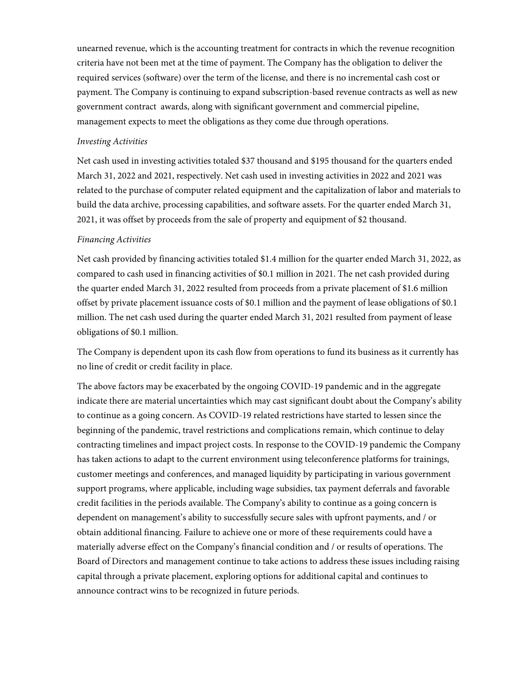unearned revenue, which is the accounting treatment for contracts in which the revenue recognition criteria have not been met at the time of payment. The Company has the obligation to deliver the required services (software) over the term of the license, and there is no incremental cash cost or payment. The Company is continuing to expand subscription-based revenue contracts as well as new government contract awards, along with significant government and commercial pipeline, management expects to meet the obligations as they come due through operations.

## *Investing Activities*

Net cash used in investing activities totaled \$37 thousand and \$195 thousand for the quarters ended March 31, 2022 and 2021, respectively. Net cash used in investing activities in 2022 and 2021 was related to the purchase of computer related equipment and the capitalization of labor and materials to build the data archive, processing capabilities, and software assets. For the quarter ended March 31, 2021, it was offset by proceeds from the sale of property and equipment of \$2 thousand.

### *Financing Activities*

Net cash provided by financing activities totaled \$1.4 million for the quarter ended March 31, 2022, as compared to cash used in financing activities of \$0.1 million in 2021. The net cash provided during the quarter ended March 31, 2022 resulted from proceeds from a private placement of \$1.6 million offset by private placement issuance costs of \$0.1 million and the payment of lease obligations of \$0.1 million. The net cash used during the quarter ended March 31, 2021 resulted from payment of lease obligations of \$0.1 million.

The Company is dependent upon its cash flow from operations to fund its business as it currently has no line of credit or credit facility in place.

The above factors may be exacerbated by the ongoing COVID-19 pandemic and in the aggregate indicate there are material uncertainties which may cast significant doubt about the Company's ability to continue as a going concern. As COVID-19 related restrictions have started to lessen since the beginning of the pandemic, travel restrictions and complications remain, which continue to delay contracting timelines and impact project costs. In response to the COVID-19 pandemic the Company has taken actions to adapt to the current environment using teleconference platforms for trainings, customer meetings and conferences, and managed liquidity by participating in various government support programs, where applicable, including wage subsidies, tax payment deferrals and favorable credit facilities in the periods available. The Company's ability to continue as a going concern is dependent on management's ability to successfully secure sales with upfront payments, and / or obtain additional financing. Failure to achieve one or more of these requirements could have a materially adverse effect on the Company's financial condition and / or results of operations. The Board of Directors and management continue to take actions to address these issues including raising capital through a private placement, exploring options for additional capital and continues to announce contract wins to be recognized in future periods.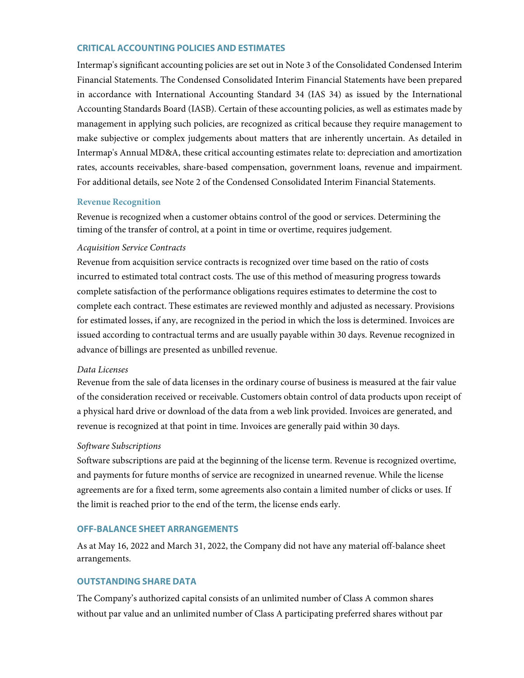## **CRITICAL ACCOUNTING POLICIES AND ESTIMATES**

Intermap's significant accounting policies are set out in Note 3 of the Consolidated Condensed Interim Financial Statements. The Condensed Consolidated Interim Financial Statements have been prepared in accordance with International Accounting Standard 34 (IAS 34) as issued by the International Accounting Standards Board (IASB). Certain of these accounting policies, as well as estimates made by management in applying such policies, are recognized as critical because they require management to make subjective or complex judgements about matters that are inherently uncertain. As detailed in Intermap's Annual MD&A, these critical accounting estimates relate to: depreciation and amortization rates, accounts receivables, share-based compensation, government loans, revenue and impairment. For additional details, see Note 2 of the Condensed Consolidated Interim Financial Statements.

## **Revenue Recognition**

Revenue is recognized when a customer obtains control of the good or services. Determining the timing of the transfer of control, at a point in time or overtime, requires judgement.

## *Acquisition Service Contracts*

Revenue from acquisition service contracts is recognized over time based on the ratio of costs incurred to estimated total contract costs. The use of this method of measuring progress towards complete satisfaction of the performance obligations requires estimates to determine the cost to complete each contract. These estimates are reviewed monthly and adjusted as necessary. Provisions for estimated losses, if any, are recognized in the period in which the loss is determined. Invoices are issued according to contractual terms and are usually payable within 30 days. Revenue recognized in advance of billings are presented as unbilled revenue.

## *Data Licenses*

Revenue from the sale of data licenses in the ordinary course of business is measured at the fair value of the consideration received or receivable. Customers obtain control of data products upon receipt of a physical hard drive or download of the data from a web link provided. Invoices are generated, and revenue is recognized at that point in time. Invoices are generally paid within 30 days.

## *Software Subscriptions*

Software subscriptions are paid at the beginning of the license term. Revenue is recognized overtime, and payments for future months of service are recognized in unearned revenue. While the license agreements are for a fixed term, some agreements also contain a limited number of clicks or uses. If the limit is reached prior to the end of the term, the license ends early.

## **OFF-BALANCE SHEET ARRANGEMENTS**

As at May 16, 2022 and March 31, 2022, the Company did not have any material off-balance sheet arrangements.

## **OUTSTANDING SHARE DATA**

The Company's authorized capital consists of an unlimited number of Class A common shares without par value and an unlimited number of Class A participating preferred shares without par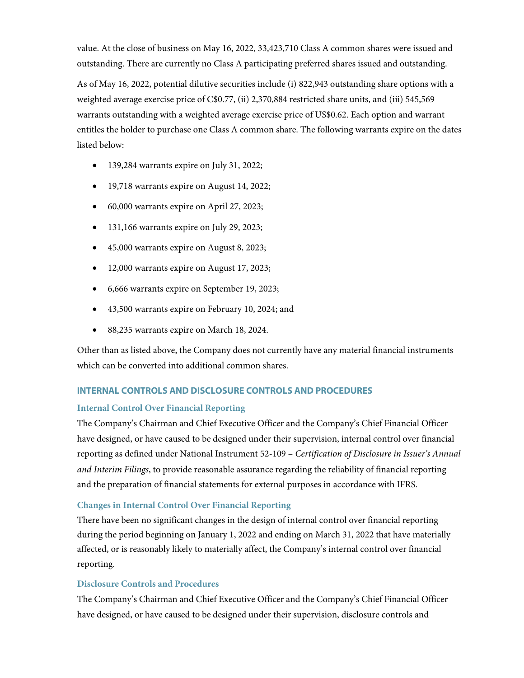value. At the close of business on May 16, 2022, 33,423,710 Class A common shares were issued and outstanding. There are currently no Class A participating preferred shares issued and outstanding.

As of May 16, 2022, potential dilutive securities include (i) 822,943 outstanding share options with a weighted average exercise price of C\$0.77, (ii) 2,370,884 restricted share units, and (iii) 545,569 warrants outstanding with a weighted average exercise price of US\$0.62. Each option and warrant entitles the holder to purchase one Class A common share. The following warrants expire on the dates listed below:

- 139,284 warrants expire on July 31, 2022;
- 19,718 warrants expire on August 14, 2022;
- 60,000 warrants expire on April 27, 2023;
- 131,166 warrants expire on July 29, 2023;
- 45,000 warrants expire on August 8, 2023;
- 12,000 warrants expire on August 17, 2023;
- 6,666 warrants expire on September 19, 2023;
- 43,500 warrants expire on February 10, 2024; and
- 88,235 warrants expire on March 18, 2024.

Other than as listed above, the Company does not currently have any material financial instruments which can be converted into additional common shares.

# **INTERNAL CONTROLS AND DISCLOSURE CONTROLS AND PROCEDURES**

## **Internal Control Over Financial Reporting**

The Company's Chairman and Chief Executive Officer and the Company's Chief Financial Officer have designed, or have caused to be designed under their supervision, internal control over financial reporting as defined under National Instrument 52-109 – *Certification of Disclosure in Issuer's Annual and Interim Filings*, to provide reasonable assurance regarding the reliability of financial reporting and the preparation of financial statements for external purposes in accordance with IFRS.

# **Changes in Internal Control Over Financial Reporting**

There have been no significant changes in the design of internal control over financial reporting during the period beginning on January 1, 2022 and ending on March 31, 2022 that have materially affected, or is reasonably likely to materially affect, the Company's internal control over financial reporting.

# **Disclosure Controls and Procedures**

The Company's Chairman and Chief Executive Officer and the Company's Chief Financial Officer have designed, or have caused to be designed under their supervision, disclosure controls and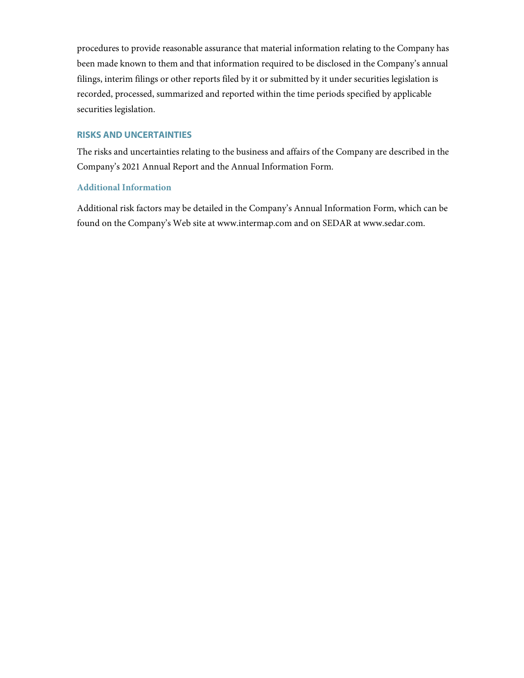procedures to provide reasonable assurance that material information relating to the Company has been made known to them and that information required to be disclosed in the Company's annual filings, interim filings or other reports filed by it or submitted by it under securities legislation is recorded, processed, summarized and reported within the time periods specified by applicable securities legislation.

# **RISKS AND UNCERTAINTIES**

The risks and uncertainties relating to the business and affairs of the Company are described in the Company's 2021 Annual Report and the Annual Information Form.

## **Additional Information**

Additional risk factors may be detailed in the Company's Annual Information Form, which can be found on the Company's Web site at [www.intermap.com](http://www.intermap.com/) and on SEDAR at [www.sedar.com.](http://www.sedar.com/)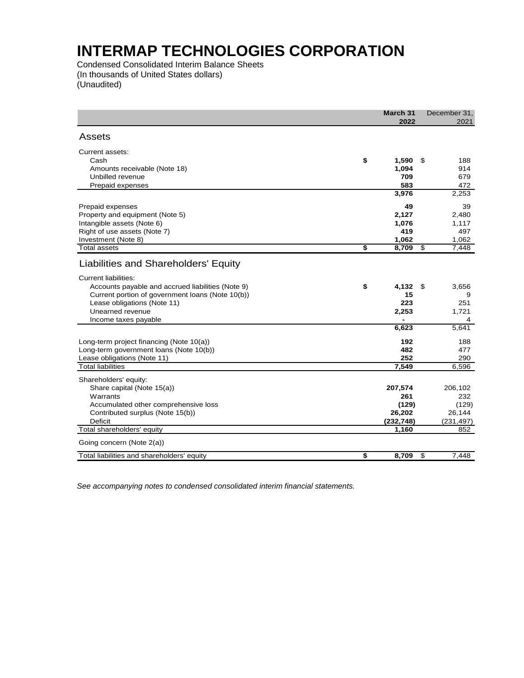Condensed Consolidated Interim Balance Sheets (In thousands of United States dollars) (Unaudited)

| Assets<br>Current assets:<br>\$<br>Cash<br>1,590<br>\$<br>188<br>1,094<br>Amounts receivable (Note 18)<br>914<br>Unbilled revenue<br>709<br>679<br>583<br>Prepaid expenses<br>472<br>3,976<br>2,253<br>49<br>39<br>Prepaid expenses<br>Property and equipment (Note 5)<br>2,127<br>2,480<br>Intangible assets (Note 6)<br>1,117<br>1,076<br>Right of use assets (Note 7)<br>419<br>497<br>Investment (Note 8)<br>1,062<br>1,062<br><b>Total assets</b><br>\$<br>8,709<br>s)<br>7,448<br>Liabilities and Shareholders' Equity<br>Current liabilities:<br>\$<br>Accounts payable and accrued liabilities (Note 9)<br>4,132<br>3,656<br>\$<br>Current portion of government loans (Note 10(b))<br>15<br>223<br>Lease obligations (Note 11)<br>251<br>Unearned revenue<br>2,253<br>1,721<br>Income taxes payable<br>6,623<br>5,641<br>Long-term project financing (Note 10(a))<br>192<br>188 | March 31<br>December 31,<br>2022<br>2021 |   |
|------------------------------------------------------------------------------------------------------------------------------------------------------------------------------------------------------------------------------------------------------------------------------------------------------------------------------------------------------------------------------------------------------------------------------------------------------------------------------------------------------------------------------------------------------------------------------------------------------------------------------------------------------------------------------------------------------------------------------------------------------------------------------------------------------------------------------------------------------------------------------------------|------------------------------------------|---|
|                                                                                                                                                                                                                                                                                                                                                                                                                                                                                                                                                                                                                                                                                                                                                                                                                                                                                          |                                          |   |
|                                                                                                                                                                                                                                                                                                                                                                                                                                                                                                                                                                                                                                                                                                                                                                                                                                                                                          |                                          |   |
|                                                                                                                                                                                                                                                                                                                                                                                                                                                                                                                                                                                                                                                                                                                                                                                                                                                                                          |                                          |   |
|                                                                                                                                                                                                                                                                                                                                                                                                                                                                                                                                                                                                                                                                                                                                                                                                                                                                                          |                                          |   |
|                                                                                                                                                                                                                                                                                                                                                                                                                                                                                                                                                                                                                                                                                                                                                                                                                                                                                          |                                          |   |
|                                                                                                                                                                                                                                                                                                                                                                                                                                                                                                                                                                                                                                                                                                                                                                                                                                                                                          |                                          |   |
|                                                                                                                                                                                                                                                                                                                                                                                                                                                                                                                                                                                                                                                                                                                                                                                                                                                                                          |                                          |   |
|                                                                                                                                                                                                                                                                                                                                                                                                                                                                                                                                                                                                                                                                                                                                                                                                                                                                                          |                                          |   |
|                                                                                                                                                                                                                                                                                                                                                                                                                                                                                                                                                                                                                                                                                                                                                                                                                                                                                          |                                          |   |
|                                                                                                                                                                                                                                                                                                                                                                                                                                                                                                                                                                                                                                                                                                                                                                                                                                                                                          |                                          |   |
|                                                                                                                                                                                                                                                                                                                                                                                                                                                                                                                                                                                                                                                                                                                                                                                                                                                                                          |                                          |   |
|                                                                                                                                                                                                                                                                                                                                                                                                                                                                                                                                                                                                                                                                                                                                                                                                                                                                                          |                                          |   |
|                                                                                                                                                                                                                                                                                                                                                                                                                                                                                                                                                                                                                                                                                                                                                                                                                                                                                          |                                          |   |
|                                                                                                                                                                                                                                                                                                                                                                                                                                                                                                                                                                                                                                                                                                                                                                                                                                                                                          |                                          |   |
|                                                                                                                                                                                                                                                                                                                                                                                                                                                                                                                                                                                                                                                                                                                                                                                                                                                                                          |                                          |   |
|                                                                                                                                                                                                                                                                                                                                                                                                                                                                                                                                                                                                                                                                                                                                                                                                                                                                                          |                                          |   |
|                                                                                                                                                                                                                                                                                                                                                                                                                                                                                                                                                                                                                                                                                                                                                                                                                                                                                          |                                          | 9 |
|                                                                                                                                                                                                                                                                                                                                                                                                                                                                                                                                                                                                                                                                                                                                                                                                                                                                                          |                                          |   |
|                                                                                                                                                                                                                                                                                                                                                                                                                                                                                                                                                                                                                                                                                                                                                                                                                                                                                          |                                          |   |
|                                                                                                                                                                                                                                                                                                                                                                                                                                                                                                                                                                                                                                                                                                                                                                                                                                                                                          |                                          | 4 |
|                                                                                                                                                                                                                                                                                                                                                                                                                                                                                                                                                                                                                                                                                                                                                                                                                                                                                          |                                          |   |
|                                                                                                                                                                                                                                                                                                                                                                                                                                                                                                                                                                                                                                                                                                                                                                                                                                                                                          |                                          |   |
| Long-term government loans (Note 10(b))<br>482<br>477                                                                                                                                                                                                                                                                                                                                                                                                                                                                                                                                                                                                                                                                                                                                                                                                                                    |                                          |   |
| 252<br>Lease obligations (Note 11)<br>290                                                                                                                                                                                                                                                                                                                                                                                                                                                                                                                                                                                                                                                                                                                                                                                                                                                |                                          |   |
| <b>Total liabilities</b><br>7,549<br>6,596                                                                                                                                                                                                                                                                                                                                                                                                                                                                                                                                                                                                                                                                                                                                                                                                                                               |                                          |   |
| Shareholders' equity:                                                                                                                                                                                                                                                                                                                                                                                                                                                                                                                                                                                                                                                                                                                                                                                                                                                                    |                                          |   |
| Share capital (Note 15(a))<br>207,574<br>206,102                                                                                                                                                                                                                                                                                                                                                                                                                                                                                                                                                                                                                                                                                                                                                                                                                                         |                                          |   |
| 261<br>Warrants<br>232                                                                                                                                                                                                                                                                                                                                                                                                                                                                                                                                                                                                                                                                                                                                                                                                                                                                   |                                          |   |
| Accumulated other comprehensive loss<br>(129)<br>(129)                                                                                                                                                                                                                                                                                                                                                                                                                                                                                                                                                                                                                                                                                                                                                                                                                                   |                                          |   |
| Contributed surplus (Note 15(b))<br>26,202<br>26,144                                                                                                                                                                                                                                                                                                                                                                                                                                                                                                                                                                                                                                                                                                                                                                                                                                     |                                          |   |
| <b>Deficit</b><br>(232, 748)<br>(231, 497)                                                                                                                                                                                                                                                                                                                                                                                                                                                                                                                                                                                                                                                                                                                                                                                                                                               |                                          |   |
| Total shareholders' equity<br>1,160<br>852                                                                                                                                                                                                                                                                                                                                                                                                                                                                                                                                                                                                                                                                                                                                                                                                                                               |                                          |   |
| Going concern (Note 2(a))                                                                                                                                                                                                                                                                                                                                                                                                                                                                                                                                                                                                                                                                                                                                                                                                                                                                |                                          |   |
| Total liabilities and shareholders' equity<br>S<br>8,709<br>s,<br>7,448                                                                                                                                                                                                                                                                                                                                                                                                                                                                                                                                                                                                                                                                                                                                                                                                                  |                                          |   |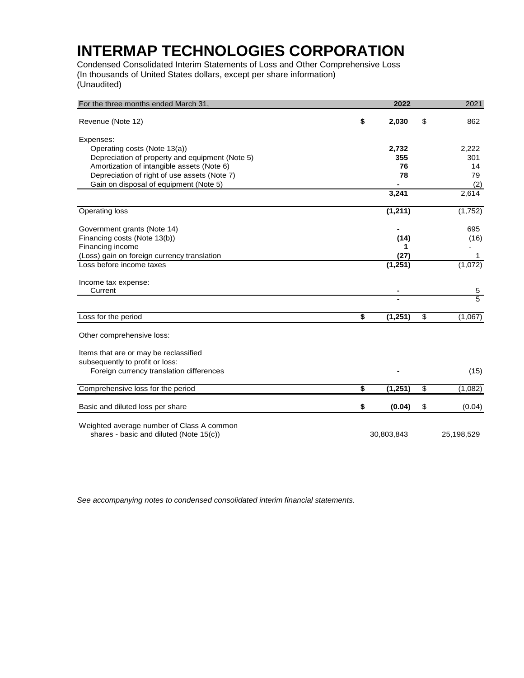Condensed Consolidated Interim Statements of Loss and Other Comprehensive Loss (In thousands of United States dollars, except per share information) (Unaudited)

| For the three months ended March 31,            | 2022           | 2021           |
|-------------------------------------------------|----------------|----------------|
| Revenue (Note 12)                               | \$<br>2,030    | \$<br>862      |
|                                                 |                |                |
| Expenses:                                       |                |                |
| Operating costs (Note 13(a))                    | 2,732          | 2,222          |
| Depreciation of property and equipment (Note 5) | 355            | 301            |
| Amortization of intangible assets (Note 6)      | 76             | 14             |
| Depreciation of right of use assets (Note 7)    | 78             | 79             |
| Gain on disposal of equipment (Note 5)          |                | (2)            |
|                                                 | 3,241          | 2,614          |
| <b>Operating loss</b>                           | (1, 211)       | (1, 752)       |
|                                                 |                |                |
| Government grants (Note 14)                     |                | 695            |
| Financing costs (Note 13(b))                    | (14)           | (16)           |
| Financing income                                | 1              |                |
| (Loss) gain on foreign currency translation     | (27)           | 1              |
| Loss before income taxes                        | (1, 251)       | (1,072)        |
| Income tax expense:                             |                |                |
| Current                                         |                | $\overline{5}$ |
|                                                 |                | $\overline{5}$ |
| Loss for the period                             | \$<br>(1,251)  | \$<br>(1,067)  |
| Other comprehensive loss:                       |                |                |
|                                                 |                |                |
| Items that are or may be reclassified           |                |                |
| subsequently to profit or loss:                 |                |                |
| Foreign currency translation differences        |                | (15)           |
|                                                 |                |                |
| Comprehensive loss for the period               | \$<br>(1, 251) | \$<br>(1,082)  |
| Basic and diluted loss per share                | \$<br>(0.04)   | \$<br>(0.04)   |
|                                                 |                |                |
| Weighted average number of Class A common       |                |                |
| shares - basic and diluted (Note 15(c))         | 30,803,843     | 25,198,529     |
|                                                 |                |                |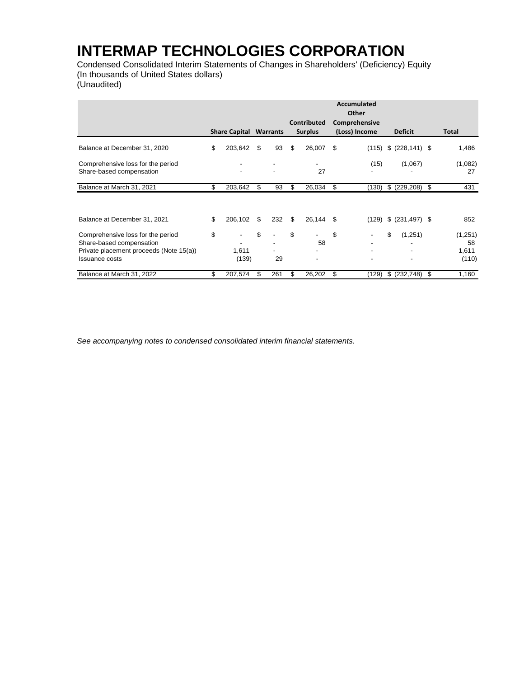Condensed Consolidated Interim Statements of Changes in Shareholders' (Deficiency) Equity (In thousands of United States dollars) (Unaudited)

|                                         |    | <b>Accumulated</b><br>Other<br><b>Contributed</b><br>Comprehensive<br>(Loss) Income<br><b>Share Capital Warrants</b><br><b>Surplus</b> |    |                          |    |           |    |       | <b>Deficit</b>           |      | Total   |
|-----------------------------------------|----|----------------------------------------------------------------------------------------------------------------------------------------|----|--------------------------|----|-----------|----|-------|--------------------------|------|---------|
|                                         |    |                                                                                                                                        |    |                          |    |           |    |       |                          |      |         |
| Balance at December 31, 2020            | \$ | 203,642                                                                                                                                | \$ | 93                       | \$ | 26,007 \$ |    | (115) | \$ (228, 141) \$         |      | 1,486   |
| Comprehensive loss for the period       |    | $\overline{\phantom{a}}$                                                                                                               |    |                          |    |           |    | (15)  | (1,067)                  |      | (1,082) |
| Share-based compensation                |    | $\overline{\phantom{a}}$                                                                                                               |    | $\overline{\phantom{a}}$ |    | 27        |    |       |                          |      | 27      |
| Balance at March 31, 2021               | \$ | 203,642                                                                                                                                | \$ | 93                       | \$ | 26,034    | \$ | (130) | \$ (229, 208) \$         |      | 431     |
|                                         |    |                                                                                                                                        |    |                          |    |           |    |       |                          |      |         |
| Balance at December 31, 2021            | \$ | 206,102                                                                                                                                | \$ | 232                      | \$ | 26,144    | \$ | (129) | \$ (231, 497) \$         |      | 852     |
| Comprehensive loss for the period       | \$ |                                                                                                                                        | \$ |                          | \$ | ٠         | \$ |       | \$<br>(1,251)            |      | (1,251) |
| Share-based compensation                |    |                                                                                                                                        |    |                          |    | 58        |    |       |                          |      | 58      |
| Private placement proceeds (Note 15(a)) |    | 1,611                                                                                                                                  |    |                          |    |           |    |       | $\overline{\phantom{a}}$ |      | 1,611   |
| <b>Issuance costs</b>                   |    | (139)                                                                                                                                  |    | 29                       |    |           |    |       | $\blacksquare$           |      | (110)   |
| Balance at March 31, 2022               | \$ | 207,574                                                                                                                                | \$ | 261                      | \$ | 26,202    | \$ | (129) | \$ (232,748)             | - \$ | 1,160   |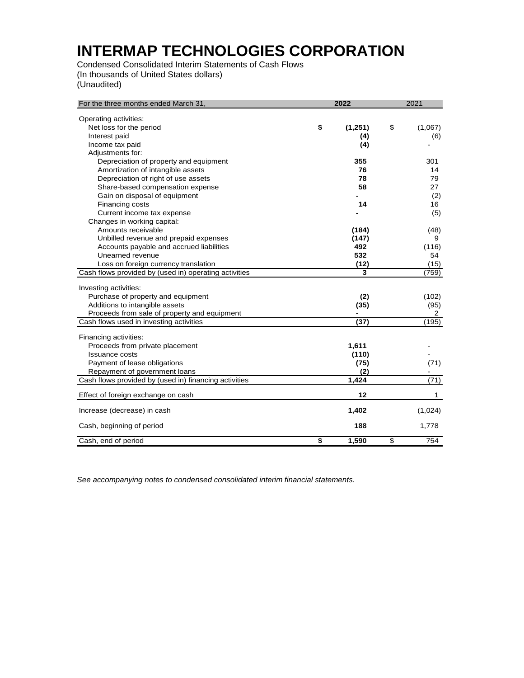Condensed Consolidated Interim Statements of Cash Flows (In thousands of United States dollars) (Unaudited)

| For the three months ended March 31,                  |    | 2021              |                         |         |  |  |
|-------------------------------------------------------|----|-------------------|-------------------------|---------|--|--|
| Operating activities:                                 |    |                   |                         |         |  |  |
| Net loss for the period                               | \$ | (1,251)           | \$                      | (1,067) |  |  |
| Interest paid                                         |    | (4)               |                         | (6)     |  |  |
| Income tax paid                                       |    | (4)               |                         |         |  |  |
| Adjustments for:                                      |    |                   |                         |         |  |  |
| Depreciation of property and equipment                |    | 355               |                         | 301     |  |  |
| Amortization of intangible assets                     |    | 76                |                         | 14      |  |  |
| Depreciation of right of use assets                   |    | 78                |                         | 79      |  |  |
| Share-based compensation expense                      |    | 58                |                         | 27      |  |  |
| Gain on disposal of equipment                         |    |                   |                         | (2)     |  |  |
| Financing costs                                       |    | 14                |                         | 16      |  |  |
| Current income tax expense                            |    |                   |                         | (5)     |  |  |
| Changes in working capital:                           |    |                   |                         |         |  |  |
| Amounts receivable                                    |    | (184)             |                         | (48)    |  |  |
| Unbilled revenue and prepaid expenses                 |    | (147)             |                         | 9       |  |  |
| Accounts payable and accrued liabilities              |    | 492               |                         | (116)   |  |  |
| Unearned revenue                                      |    | 532               |                         | 54      |  |  |
| Loss on foreign currency translation                  |    | (12)              |                         | (15)    |  |  |
| Cash flows provided by (used in) operating activities |    | 3                 |                         | (759)   |  |  |
| Investing activities:                                 |    |                   |                         |         |  |  |
| Purchase of property and equipment                    |    | (2)               |                         | (102)   |  |  |
| Additions to intangible assets                        |    | (35)              |                         | (95)    |  |  |
| Proceeds from sale of property and equipment          |    |                   |                         | 2       |  |  |
| Cash flows used in investing activities               |    | $\overline{(37)}$ |                         | (195)   |  |  |
|                                                       |    |                   |                         |         |  |  |
| Financing activities:                                 |    |                   |                         |         |  |  |
| Proceeds from private placement                       |    | 1,611             |                         |         |  |  |
| <b>Issuance costs</b>                                 |    | (110)             |                         |         |  |  |
| Payment of lease obligations                          |    | (75)              |                         | (71)    |  |  |
| Repayment of government loans                         |    | (2)               |                         |         |  |  |
| Cash flows provided by (used in) financing activities |    | 1,424             |                         | (71)    |  |  |
| Effect of foreign exchange on cash                    |    | 12                |                         | 1       |  |  |
| Increase (decrease) in cash                           |    | 1,402             |                         | (1,024) |  |  |
| Cash, beginning of period                             |    | 188               |                         | 1,778   |  |  |
| Cash, end of period                                   | S  | 1,590             | $\overline{\mathbb{S}}$ | 754     |  |  |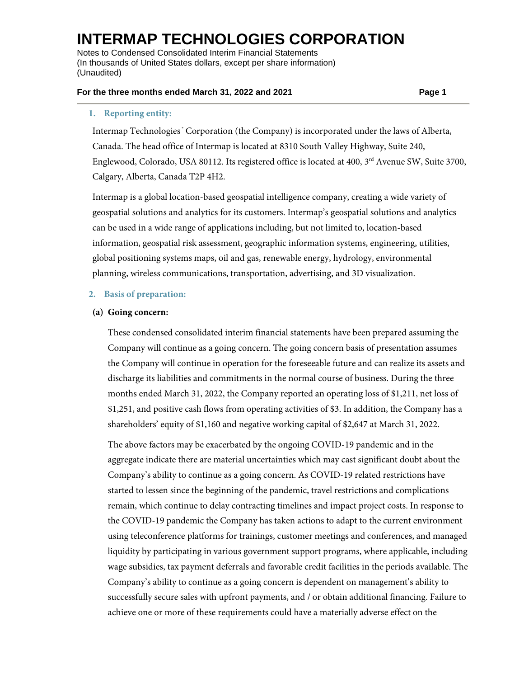Notes to Condensed Consolidated Interim Financial Statements (In thousands of United States dollars, except per share information) (Unaudited)

#### **For the three months ended March 31, 2022 and 2021 Page 1**

## **1. Reporting entity:**

Intermap Technologies<sup>®</sup> Corporation (the Company) is incorporated under the laws of Alberta, Canada. The head office of Intermap is located at 8310 South Valley Highway, Suite 240, Englewood, Colorado, USA 80112. Its registered office is located at 400, 3<sup>rd</sup> Avenue SW, Suite 3700, Calgary, Alberta, Canada T2P 4H2.

Intermap is a global location-based geospatial intelligence company, creating a wide variety of geospatial solutions and analytics for its customers. Intermap's geospatial solutions and analytics can be used in a wide range of applications including, but not limited to, location-based information, geospatial risk assessment, geographic information systems, engineering, utilities, global positioning systems maps, oil and gas, renewable energy, hydrology, environmental planning, wireless communications, transportation, advertising, and 3D visualization.

### **2. Basis of preparation:**

### **(a) Going concern:**

These condensed consolidated interim financial statements have been prepared assuming the Company will continue as a going concern. The going concern basis of presentation assumes the Company will continue in operation for the foreseeable future and can realize its assets and discharge its liabilities and commitments in the normal course of business. During the three months ended March 31, 2022, the Company reported an operating loss of \$1,211, net loss of \$1,251, and positive cash flows from operating activities of \$3. In addition, the Company has a shareholders' equity of \$1,160 and negative working capital of \$2,647 at March 31, 2022.

The above factors may be exacerbated by the ongoing COVID-19 pandemic and in the aggregate indicate there are material uncertainties which may cast significant doubt about the Company's ability to continue as a going concern. As COVID-19 related restrictions have started to lessen since the beginning of the pandemic, travel restrictions and complications remain, which continue to delay contracting timelines and impact project costs. In response to the COVID-19 pandemic the Company has taken actions to adapt to the current environment using teleconference platforms for trainings, customer meetings and conferences, and managed liquidity by participating in various government support programs, where applicable, including wage subsidies, tax payment deferrals and favorable credit facilities in the periods available. The Company's ability to continue as a going concern is dependent on management's ability to successfully secure sales with upfront payments, and / or obtain additional financing. Failure to achieve one or more of these requirements could have a materially adverse effect on the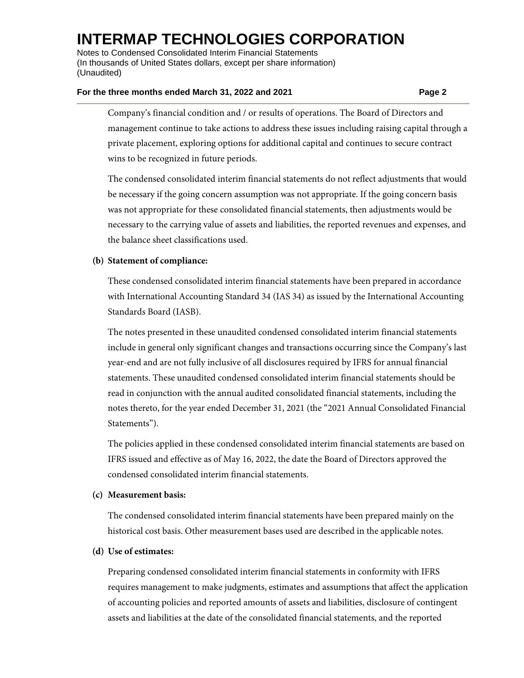Notes to Condensed Consolidated Interim Financial Statements (In thousands of United States dollars, except per share information) (Unaudited)

#### **For the three months ended March 31, 2022 and 2021 Page 2**

Company's financial condition and / or results of operations. The Board of Directors and management continue to take actions to address these issues including raising capital through a private placement, exploring options for additional capital and continues to secure contract wins to be recognized in future periods.

The condensed consolidated interim financial statements do not reflect adjustments that would be necessary if the going concern assumption was not appropriate. If the going concern basis was not appropriate for these consolidated financial statements, then adjustments would be necessary to the carrying value of assets and liabilities, the reported revenues and expenses, and the balance sheet classifications used.

## **(b) Statement of compliance:**

These condensed consolidated interim financial statements have been prepared in accordance with International Accounting Standard 34 (IAS 34) as issued by the International Accounting Standards Board (IASB).

The notes presented in these unaudited condensed consolidated interim financial statements include in general only significant changes and transactions occurring since the Company's last year-end and are not fully inclusive of all disclosures required by IFRS for annual financial statements. These unaudited condensed consolidated interim financial statements should be read in conjunction with the annual audited consolidated financial statements, including the notes thereto, for the year ended December 31, 2021 (the "2021 Annual Consolidated Financial Statements").

The policies applied in these condensed consolidated interim financial statements are based on IFRS issued and effective as of May 16, 2022, the date the Board of Directors approved the condensed consolidated interim financial statements.

## **(c) Measurement basis:**

The condensed consolidated interim financial statements have been prepared mainly on the historical cost basis. Other measurement bases used are described in the applicable notes.

## **(d) Use of estimates:**

Preparing condensed consolidated interim financial statements in conformity with IFRS requires management to make judgments, estimates and assumptions that affect the application of accounting policies and reported amounts of assets and liabilities, disclosure of contingent assets and liabilities at the date of the consolidated financial statements, and the reported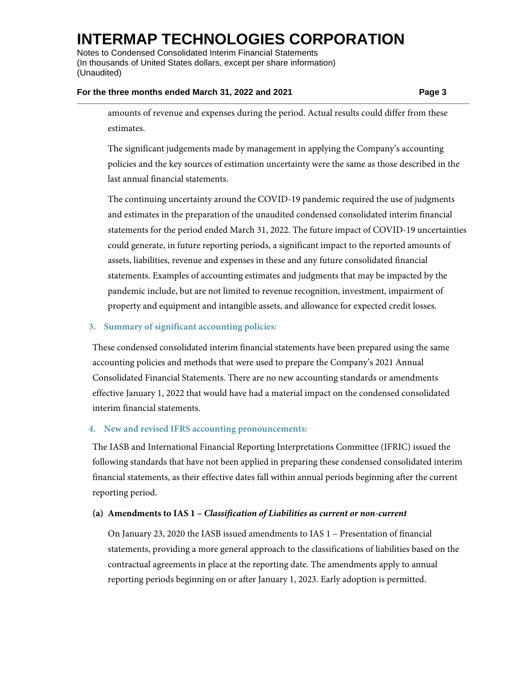Notes to Condensed Consolidated Interim Financial Statements (In thousands of United States dollars, except per share information) (Unaudited)

#### **For the three months ended March 31, 2022 and 2021 Page 3**

amounts of revenue and expenses during the period. Actual results could differ from these estimates.

The significant judgements made by management in applying the Company's accounting policies and the key sources of estimation uncertainty were the same as those described in the last annual financial statements.

The continuing uncertainty around the COVID-19 pandemic required the use of judgments and estimates in the preparation of the unaudited condensed consolidated interim financial statements for the period ended March 31, 2022. The future impact of COVID-19 uncertainties could generate, in future reporting periods, a significant impact to the reported amounts of assets, liabilities, revenue and expenses in these and any future consolidated financial statements. Examples of accounting estimates and judgments that may be impacted by the pandemic include, but are not limited to revenue recognition, investment, impairment of property and equipment and intangible assets, and allowance for expected credit losses.

## **3. Summary of significant accounting policies:**

These condensed consolidated interim financial statements have been prepared using the same accounting policies and methods that were used to prepare the Company's 2021 Annual Consolidated Financial Statements. There are no new accounting standards or amendments effective January 1, 2022 that would have had a material impact on the condensed consolidated interim financial statements.

# **4. New and revised IFRS accounting pronouncements:**

The IASB and International Financial Reporting Interpretations Committee (IFRIC) issued the following standards that have not been applied in preparing these condensed consolidated interim financial statements, as their effective dates fall within annual periods beginning after the current reporting period.

## **(a) Amendments to IAS 1 –** *Classification of Liabilities as current or non-current*

On January 23, 2020 the IASB issued amendments to IAS 1 – Presentation of financial statements, providing a more general approach to the classifications of liabilities based on the contractual agreements in place at the reporting date. The amendments apply to annual reporting periods beginning on or after January 1, 2023. Early adoption is permitted.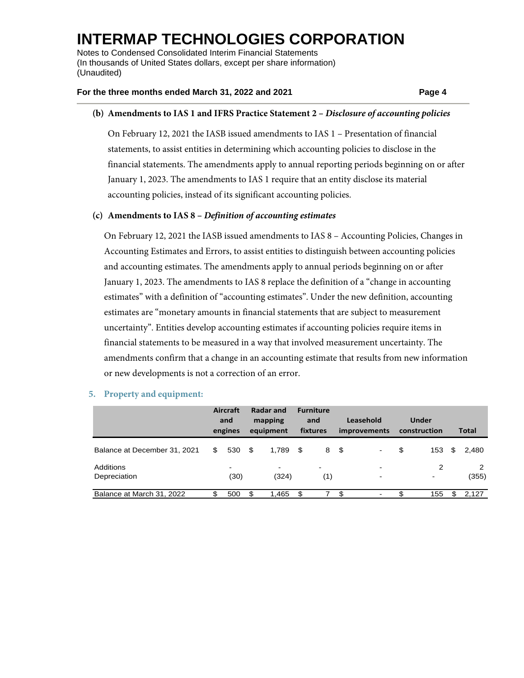Notes to Condensed Consolidated Interim Financial Statements (In thousands of United States dollars, except per share information) (Unaudited)

### **For the three months ended March 31, 2022 and 2021 Page 4**

## **(b) Amendments to IAS 1 and IFRS Practice Statement 2 –** *Disclosure of accounting policies*

On February 12, 2021 the IASB issued amendments to IAS 1 – Presentation of financial statements, to assist entities in determining which accounting policies to disclose in the financial statements. The amendments apply to annual reporting periods beginning on or after January 1, 2023. The amendments to IAS 1 require that an entity disclose its material accounting policies, instead of its significant accounting policies.

### **(c) Amendments to IAS 8 –** *Definition of accounting estimates*

On February 12, 2021 the IASB issued amendments to IAS 8 – Accounting Policies, Changes in Accounting Estimates and Errors, to assist entities to distinguish between accounting policies and accounting estimates. The amendments apply to annual periods beginning on or after January 1, 2023. The amendments to IAS 8 replace the definition of a "change in accounting estimates" with a definition of "accounting estimates". Under the new definition, accounting estimates are "monetary amounts in financial statements that are subject to measurement uncertainty". Entities develop accounting estimates if accounting policies require items in financial statements to be measured in a way that involved measurement uncertainty. The amendments confirm that a change in an accounting estimate that results from new information or new developments is not a correction of an error.

|                              |     | Aircraft<br>and<br>engines | Radar and<br>mapping<br>equipment |      | <b>Furniture</b><br>and<br>fixtures | Leasehold<br><i>improvements</i> |                                  | <b>Under</b><br>construction |                     |   | <b>Total</b> |
|------------------------------|-----|----------------------------|-----------------------------------|------|-------------------------------------|----------------------------------|----------------------------------|------------------------------|---------------------|---|--------------|
| Balance at December 31, 2021 | \$. | 530 \$                     | 1.789                             | - \$ | 8                                   | - \$                             | $\blacksquare$                   | \$                           | 153                 | S | 2,480        |
| Additions<br>Depreciation    |     | ۰<br>(30)                  | $\blacksquare$<br>(324)           |      | $\blacksquare$<br>(1)               |                                  | $\blacksquare$<br>$\blacksquare$ |                              | 2<br>$\blacksquare$ |   | (355)        |
| Balance at March 31, 2022    | S   | 500                        | \$<br>1.465                       | \$   |                                     | \$.                              |                                  | \$                           | 155                 | S | 2.127        |

#### **5. Property and equipment:**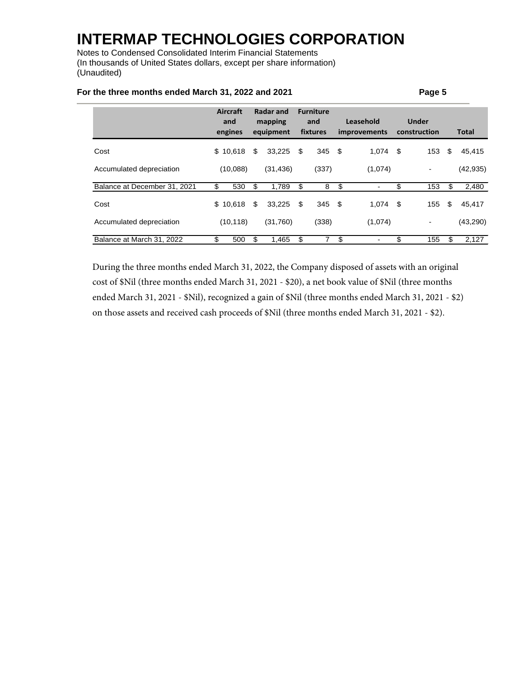Notes to Condensed Consolidated Interim Financial Statements (In thousands of United States dollars, except per share information) (Unaudited)

|                              | Aircraft<br><b>Radar and</b><br>mapping<br>and<br>engines<br>equipment |    |           | <b>Furniture</b><br>and<br>fixtures | Leasehold<br>improvements      | Under<br>construction |     | <b>Total</b> |
|------------------------------|------------------------------------------------------------------------|----|-----------|-------------------------------------|--------------------------------|-----------------------|-----|--------------|
| Cost                         | \$10,618                                                               | \$ | 33.225    | \$<br>$345$ \$                      | $1,074$ \$                     | 153                   | -\$ | 45,415       |
| Accumulated depreciation     | (10,088)                                                               |    | (31, 436) | (337)                               | (1,074)                        |                       |     | (42, 935)    |
| Balance at December 31, 2021 | \$<br>530                                                              | \$ | 1,789     | \$<br>8                             | \$                             | \$<br>153             | \$  | 2,480        |
| Cost                         | \$10.618                                                               | \$ | 33.225    | \$<br>$345$ \$                      | $1,074$ \$                     | 155                   | \$  | 45,417       |
| Accumulated depreciation     | (10, 118)                                                              |    | (31,760)  | (338)                               | (1,074)                        | $\overline{a}$        |     | (43, 290)    |
| Balance at March 31, 2022    | S<br>500                                                               | \$ | 1,465     | \$                                  | \$<br>$\overline{\phantom{0}}$ | \$<br>155             | \$  | 2,127        |

### **For the three months ended March 31, 2022 and 2021 Page 5**

During the three months ended March 31, 2022, the Company disposed of assets with an original cost of \$Nil (three months ended March 31, 2021 - \$20), a net book value of \$Nil (three months ended March 31, 2021 - \$Nil), recognized a gain of \$Nil (three months ended March 31, 2021 - \$2) on those assets and received cash proceeds of \$Nil (three months ended March 31, 2021 - \$2).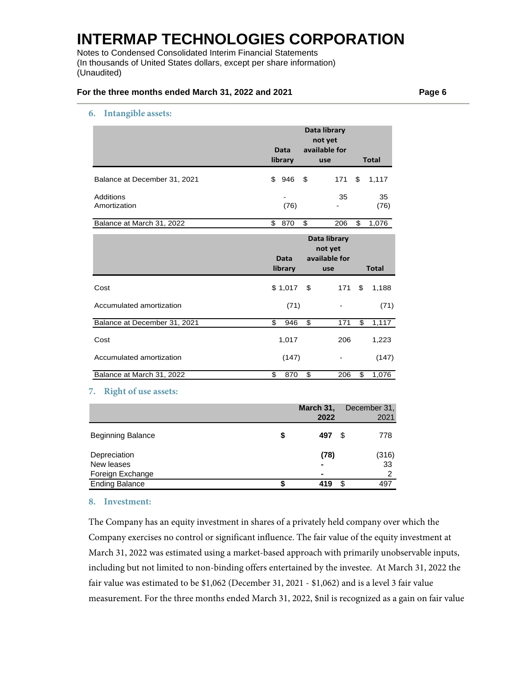Notes to Condensed Consolidated Interim Financial Statements (In thousands of United States dollars, except per share information) (Unaudited)

### **For the three months ended March 31, 2022 and 2021 Page 6**

#### **6. Intangible assets:**

|                              | Data<br>library | Data library<br>not yet<br>available for<br>use | <b>Total</b> |              |
|------------------------------|-----------------|-------------------------------------------------|--------------|--------------|
| Balance at December 31, 2021 | \$<br>946       | \$<br>171                                       | \$           | 1,117        |
| Additions<br>Amortization    | (76)            | 35                                              |              | 35<br>(76)   |
| Balance at March 31, 2022    | \$<br>870       | \$<br>206                                       | \$           | 1,076        |
|                              |                 | Data library<br>not yet                         |              |              |
|                              | Data<br>library | available for<br>use                            |              | <b>Total</b> |
| Cost                         | \$1,017         | \$<br>171                                       | \$           | 1,188        |
| Accumulated amortization     | (71)            | -                                               |              | (71)         |
| Balance at December 31, 2021 | \$<br>946       | \$<br>171                                       | \$           | 1,117        |
| Cost                         | 1,017           | 206                                             |              | 1,223        |
| Accumulated amortization     | (147)           |                                                 |              | (147)        |

# **7. Right of use assets:**

|                          |   | March 31, | December 31, |
|--------------------------|---|-----------|--------------|
|                          |   | 2022      | 2021         |
| <b>Beginning Balance</b> | S | 497       | 778<br>£.    |
| Depreciation             |   | (78)      | (316)        |
| New leases               |   | ۰         | 33           |
| Foreign Exchange         |   |           | 2            |
| <b>Ending Balance</b>    |   | 419       | 497          |

#### **8. Investment:**

The Company has an equity investment in shares of a privately held company over which the Company exercises no control or significant influence. The fair value of the equity investment at March 31, 2022 was estimated using a market-based approach with primarily unobservable inputs, including but not limited to non-binding offers entertained by the investee. At March 31, 2022 the fair value was estimated to be \$1,062 (December 31, 2021 - \$1,062) and is a level 3 fair value measurement. For the three months ended March 31, 2022, \$nil is recognized as a gain on fair value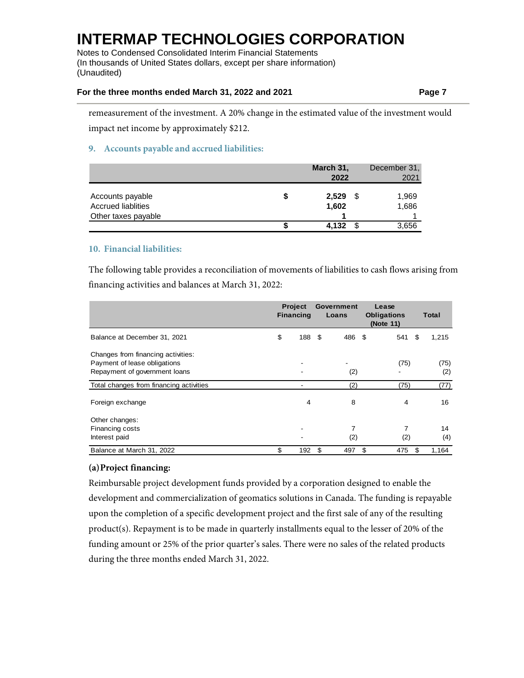Notes to Condensed Consolidated Interim Financial Statements (In thousands of United States dollars, except per share information) (Unaudited)

## **For the three months ended March 31, 2022 and 2021 Page 7**

remeasurement of the investment. A 20% change in the estimated value of the investment would impact net income by approximately \$212.

## **9. Accounts payable and accrued liabilities:**

|                           |   | March 31, |    | December 31, |
|---------------------------|---|-----------|----|--------------|
|                           |   | 2022      |    | 2021         |
| Accounts payable          | S | 2,529     | -S | 1,969        |
| <b>Accrued liablities</b> |   | 1,602     |    | 1,686        |
| Other taxes payable       |   |           |    |              |
|                           |   | 4.132     | £. | 3,656        |

## **10. Financial liabilities:**

The following table provides a reconciliation of movements of liabilities to cash flows arising from financing activities and balances at March 31, 2022:

|                                                                                                     | <b>Project</b><br><b>Financing</b> | Government<br>Loans |      | Lease<br><b>Obligations</b><br>(Note 11) | Total       |
|-----------------------------------------------------------------------------------------------------|------------------------------------|---------------------|------|------------------------------------------|-------------|
| Balance at December 31, 2021                                                                        | \$<br>188                          | \$<br>486           | - \$ | 541                                      | \$<br>1,215 |
| Changes from financing activities:<br>Payment of lease obligations<br>Repayment of government loans |                                    | (2)                 |      | (75)                                     | (75)<br>(2) |
| Total changes from financing activities                                                             |                                    | (2)                 |      | (75)                                     | (77)        |
| Foreign exchange                                                                                    | 4                                  | 8                   |      | 4                                        | 16          |
| Other changes:<br>Financing costs<br>Interest paid                                                  |                                    | 7<br>(2)            |      | 7<br>(2)                                 | 14<br>(4)   |
| Balance at March 31, 2022                                                                           | \$<br>192                          | \$<br>497           | \$   | 475                                      | \$<br>1,164 |

## **(a)Project financing:**

Reimbursable project development funds provided by a corporation designed to enable the development and commercialization of geomatics solutions in Canada. The funding is repayable upon the completion of a specific development project and the first sale of any of the resulting product(s). Repayment is to be made in quarterly installments equal to the lesser of 20% of the funding amount or 25% of the prior quarter's sales. There were no sales of the related products during the three months ended March 31, 2022.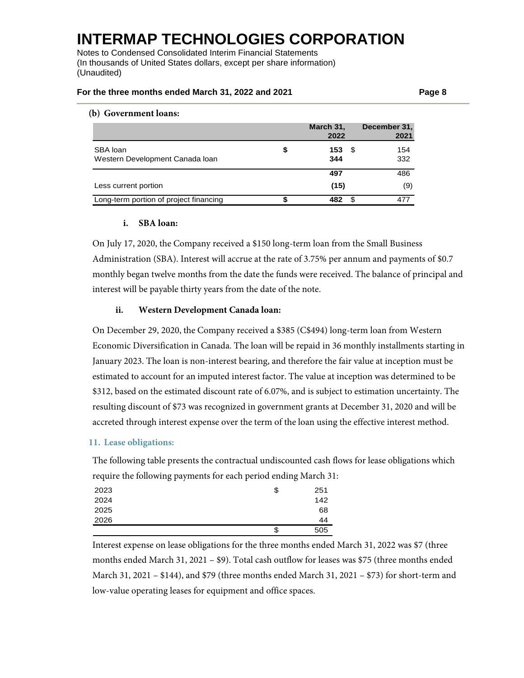Notes to Condensed Consolidated Interim Financial Statements (In thousands of United States dollars, except per share information) (Unaudited)

### **For the three months ended March 31, 2022 and 2021 Page 8**

### **(b) Government loans:**

|                                             | March 31,<br>2022        | December 31,<br>2021 |
|---------------------------------------------|--------------------------|----------------------|
| SBA loan<br>Western Development Canada Ioan | \$<br>153<br>- \$<br>344 | 154<br>332           |
|                                             | 497                      | 486                  |
| Less current portion                        | (15)                     | (9)                  |
| Long-term portion of project financing      | 482                      | 477                  |

## **i. SBA loan:**

On July 17, 2020, the Company received a \$150 long-term loan from the Small Business Administration (SBA). Interest will accrue at the rate of 3.75% per annum and payments of \$0.7 monthly began twelve months from the date the funds were received. The balance of principal and interest will be payable thirty years from the date of the note.

### **ii. Western Development Canada loan:**

On December 29, 2020, the Company received a \$385 (C\$494) long-term loan from Western Economic Diversification in Canada. The loan will be repaid in 36 monthly installments starting in January 2023. The loan is non-interest bearing, and therefore the fair value at inception must be estimated to account for an imputed interest factor. The value at inception was determined to be \$312, based on the estimated discount rate of 6.07%, and is subject to estimation uncertainty. The resulting discount of \$73 was recognized in government grants at December 31, 2020 and will be accreted through interest expense over the term of the loan using the effective interest method.

### **11. Lease obligations:**

The following table presents the contractual undiscounted cash flows for lease obligations which require the following payments for each period ending March 31:

| 2023 | \$ | 251 |
|------|----|-----|
| 2024 |    | 142 |
| 2025 |    | 68  |
| 2026 |    | 44  |
|      | S  | 505 |

Interest expense on lease obligations for the three months ended March 31, 2022 was \$7 (three months ended March 31, 2021 – \$9). Total cash outflow for leases was \$75 (three months ended March 31, 2021 – \$144), and \$79 (three months ended March 31, 2021 – \$73) for short-term and low-value operating leases for equipment and office spaces.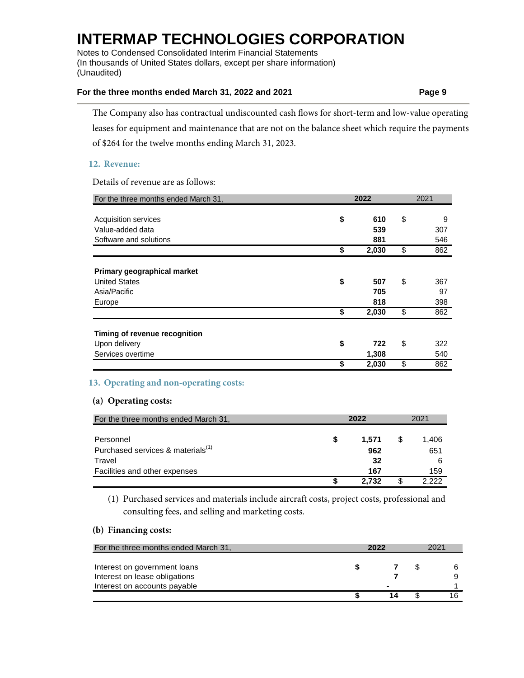Notes to Condensed Consolidated Interim Financial Statements (In thousands of United States dollars, except per share information) (Unaudited)

## **For the three months ended March 31, 2022 and 2021 Page 9**

The Company also has contractual undiscounted cash flows for short-term and low-value operating leases for equipment and maintenance that are not on the balance sheet which require the payments of \$264 for the twelve months ending March 31, 2023.

## **12. Revenue:**

Details of revenue are as follows:

| For the three months ended March 31, | 2022        |    |     |
|--------------------------------------|-------------|----|-----|
|                                      |             |    |     |
| <b>Acquisition services</b>          | \$<br>610   | \$ | 9   |
| Value-added data                     | 539         |    | 307 |
| Software and solutions               | 881         |    | 546 |
|                                      | \$<br>2,030 | \$ | 862 |
| Primary geographical market          |             |    |     |
| <b>United States</b>                 | \$<br>507   | \$ | 367 |
| Asia/Pacific                         | 705         |    | 97  |
| Europe                               | 818         |    | 398 |
|                                      | \$<br>2,030 | \$ | 862 |
| Timing of revenue recognition        |             |    |     |
| Upon delivery                        | \$<br>722   | \$ | 322 |
| Services overtime                    | 1,308       |    | 540 |
|                                      | \$<br>2,030 | \$ | 862 |

## **13. Operating and non-operating costs:**

## **(a) Operating costs:**

| For the three months ended March 31,          |   | 2022  | 2021 |       |  |
|-----------------------------------------------|---|-------|------|-------|--|
| Personnel                                     | S | 1.571 |      | 1,406 |  |
| Purchased services & materials <sup>(1)</sup> |   | 962   |      | 651   |  |
| Travel                                        |   | 32    |      |       |  |
| Facilities and other expenses                 |   | 167   |      | 159   |  |
|                                               |   | 2.732 |      | 2 222 |  |

(1) Purchased services and materials include aircraft costs, project costs, professional and consulting fees, and selling and marketing costs.

## **(b) Financing costs:**

| For the three months ended March 31, | 2022           | 2021 |  |  |
|--------------------------------------|----------------|------|--|--|
| Interest on government loans         |                |      |  |  |
| Interest on lease obligations        |                |      |  |  |
| Interest on accounts payable         | $\blacksquare$ |      |  |  |
|                                      |                |      |  |  |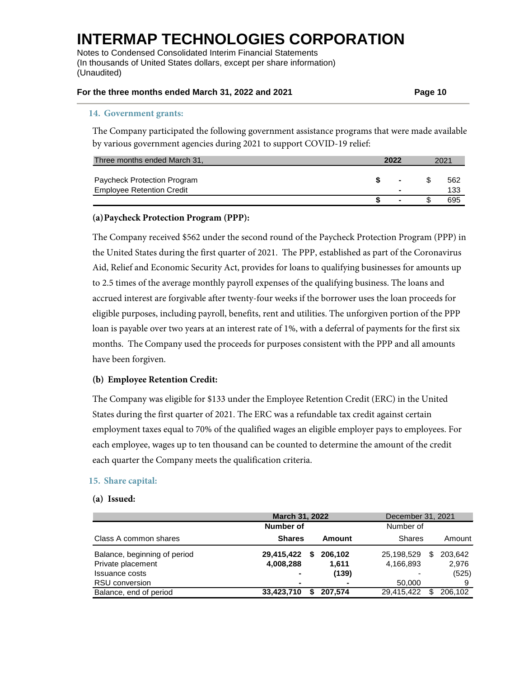Notes to Condensed Consolidated Interim Financial Statements (In thousands of United States dollars, except per share information) (Unaudited)

### **For the three months ended March 31, 2022 and 2021 Page 10**

#### **14. Government grants:**

The Company participated the following government assistance programs that were made available by various government agencies during 2021 to support COVID-19 relief:

| Three months ended March 31,     | 2022           | 2021 |     |  |
|----------------------------------|----------------|------|-----|--|
|                                  |                |      |     |  |
| Paycheck Protection Program      | $\blacksquare$ |      | 562 |  |
| <b>Employee Retention Credit</b> | $\blacksquare$ |      | 133 |  |
|                                  | $\blacksquare$ |      | 695 |  |

### **(a)Paycheck Protection Program (PPP):**

The Company received \$562 under the second round of the Paycheck Protection Program (PPP) in the United States during the first quarter of 2021. The PPP, established as part of the Coronavirus Aid, Relief and Economic Security Act, provides for loans to qualifying businesses for amounts up to 2.5 times of the average monthly payroll expenses of the qualifying business. The loans and accrued interest are forgivable after twenty-four weeks if the borrower uses the loan proceeds for eligible purposes, including payroll, benefits, rent and utilities. The unforgiven portion of the PPP loan is payable over two years at an interest rate of 1%, with a deferral of payments for the first six months. The Company used the proceeds for purposes consistent with the PPP and all amounts have been forgiven.

### **(b) Employee Retention Credit:**

The Company was eligible for \$133 under the Employee Retention Credit (ERC) in the United States during the first quarter of 2021. The ERC was a refundable tax credit against certain employment taxes equal to 70% of the qualified wages an eligible employer pays to employees. For each employee, wages up to ten thousand can be counted to determine the amount of the credit each quarter the Company meets the qualification criteria.

### **15. Share capital:**

#### **(a) Issued:**

|                              | <b>March 31, 2022</b> |                | December 31, 2021 |               |
|------------------------------|-----------------------|----------------|-------------------|---------------|
|                              | Number of             |                | Number of         |               |
| Class A common shares        | <b>Shares</b>         | Amount         | <b>Shares</b>     | Amount        |
| Balance, beginning of period | 29,415,422<br>\$      | 206.102        | 25,198,529        | 203.642<br>S  |
| Private placement            | 4,008,288             | 1.611          | 4,166,893         | 2,976         |
| <b>Issuance costs</b>        | $\blacksquare$        | (139)          |                   | (525)         |
| <b>RSU</b> conversion        |                       | $\blacksquare$ | 50,000            | 9             |
| Balance, end of period       | 33,423,710            | 207.574        | 29,415,422        | 206.102<br>\$ |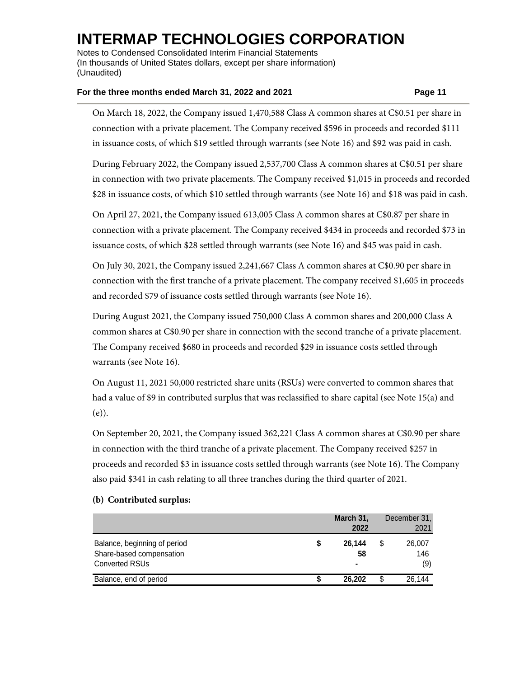Notes to Condensed Consolidated Interim Financial Statements (In thousands of United States dollars, except per share information) (Unaudited)

### **For the three months ended March 31, 2022 and 2021 Page 11**

On March 18, 2022, the Company issued 1,470,588 Class A common shares at C\$0.51 per share in connection with a private placement. The Company received \$596 in proceeds and recorded \$111 in issuance costs, of which \$19 settled through warrants (see Note 16) and \$92 was paid in cash.

During February 2022, the Company issued 2,537,700 Class A common shares at C\$0.51 per share in connection with two private placements. The Company received \$1,015 in proceeds and recorded \$28 in issuance costs, of which \$10 settled through warrants (see Note 16) and \$18 was paid in cash.

On April 27, 2021, the Company issued 613,005 Class A common shares at C\$0.87 per share in connection with a private placement. The Company received \$434 in proceeds and recorded \$73 in issuance costs, of which \$28 settled through warrants (see Note 16) and \$45 was paid in cash.

On July 30, 2021, the Company issued 2,241,667 Class A common shares at C\$0.90 per share in connection with the first tranche of a private placement. The company received \$1,605 in proceeds and recorded \$79 of issuance costs settled through warrants (see Note 16).

During August 2021, the Company issued 750,000 Class A common shares and 200,000 Class A common shares at C\$0.90 per share in connection with the second tranche of a private placement. The Company received \$680 in proceeds and recorded \$29 in issuance costs settled through warrants (see Note 16).

On August 11, 2021 50,000 restricted share units (RSUs) were converted to common shares that had a value of \$9 in contributed surplus that was reclassified to share capital (see Note 15(a) and (e)).

On September 20, 2021, the Company issued 362,221 Class A common shares at C\$0.90 per share in connection with the third tranche of a private placement. The Company received \$257 in proceeds and recorded \$3 in issuance costs settled through warrants (see Note 16). The Company also paid \$341 in cash relating to all three tranches during the third quarter of 2021.

|                                                                                   | March 31,<br>2022 |    | December 31.<br>2021 |
|-----------------------------------------------------------------------------------|-------------------|----|----------------------|
| Balance, beginning of period<br>Share-based compensation<br><b>Converted RSUs</b> | 26.144<br>58<br>۰ | S  | 26,007<br>146<br>(9) |
| Balance, end of period                                                            | 26.202            | \$ | 26.144               |

### **(b) Contributed surplus:**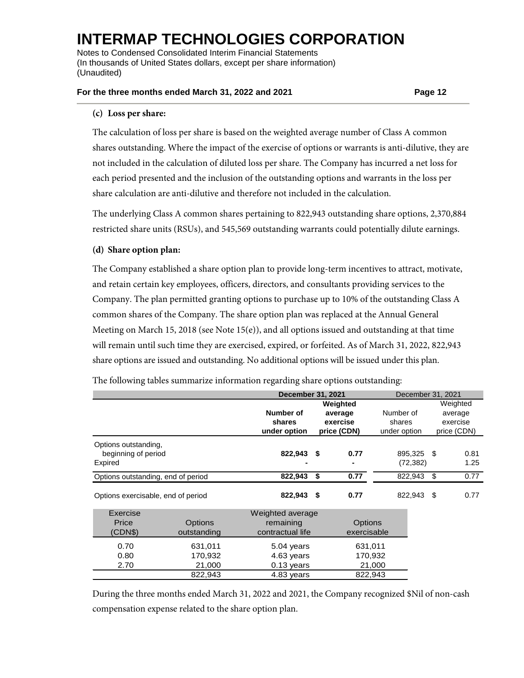Notes to Condensed Consolidated Interim Financial Statements (In thousands of United States dollars, except per share information) (Unaudited)

## **For the three months ended March 31, 2022 and 2021 Page 12**

## **(c) Loss per share:**

The calculation of loss per share is based on the weighted average number of Class A common shares outstanding. Where the impact of the exercise of options or warrants is anti-dilutive, they are not included in the calculation of diluted loss per share. The Company has incurred a net loss for each period presented and the inclusion of the outstanding options and warrants in the loss per share calculation are anti-dilutive and therefore not included in the calculation.

The underlying Class A common shares pertaining to 822,943 outstanding share options, 2,370,884 restricted share units (RSUs), and 545,569 outstanding warrants could potentially dilute earnings.

## **(d) Share option plan:**

The Company established a share option plan to provide long-term incentives to attract, motivate, and retain certain key employees, officers, directors, and consultants providing services to the Company. The plan permitted granting options to purchase up to 10% of the outstanding Class A common shares of the Company. The share option plan was replaced at the Annual General Meeting on March 15, 2018 (see Note  $15(e)$ ), and all options issued and outstanding at that time will remain until such time they are exercised, expired, or forfeited. As of March 31, 2022, 822,943 share options are issued and outstanding. No additional options will be issued under this plan.

The following tables summarize information regarding share options outstanding:

|                                                        |                                         | <b>December 31, 2021</b>                             |    | December 31, 2021                              |                                     |      |                                                |
|--------------------------------------------------------|-----------------------------------------|------------------------------------------------------|----|------------------------------------------------|-------------------------------------|------|------------------------------------------------|
|                                                        |                                         | Number of<br>shares<br>under option                  |    | Weighted<br>average<br>exercise<br>price (CDN) | Number of<br>shares<br>under option |      | Weighted<br>average<br>exercise<br>price (CDN) |
| Options outstanding,<br>beginning of period<br>Expired |                                         | 822,943 \$                                           |    | 0.77                                           | 895,325<br>(72, 382)                | - \$ | 0.81<br>1.25                                   |
| Options outstanding, end of period                     |                                         | 822,943                                              | \$ | 0.77                                           | 822,943                             | \$   | 0.77                                           |
| Options exercisable, end of period                     |                                         | 822,943                                              | \$ | 0.77                                           | 822,943                             | \$   | 0.77                                           |
| Exercise<br>Price<br>(CDN\$)                           | <b>Options</b><br>outstanding           | Weighted average<br>remaining<br>contractual life    |    | <b>Options</b><br>exercisable                  |                                     |      |                                                |
| 0.70<br>0.80<br>2.70                                   | 631,011<br>170,932<br>21,000<br>822,943 | 5.04 years<br>4.63 years<br>0.13 years<br>4.83 years |    | 631,011<br>170,932<br>21,000<br>822,943        |                                     |      |                                                |
|                                                        |                                         |                                                      |    |                                                |                                     |      |                                                |

During the three months ended March 31, 2022 and 2021, the Company recognized \$Nil of non-cash compensation expense related to the share option plan.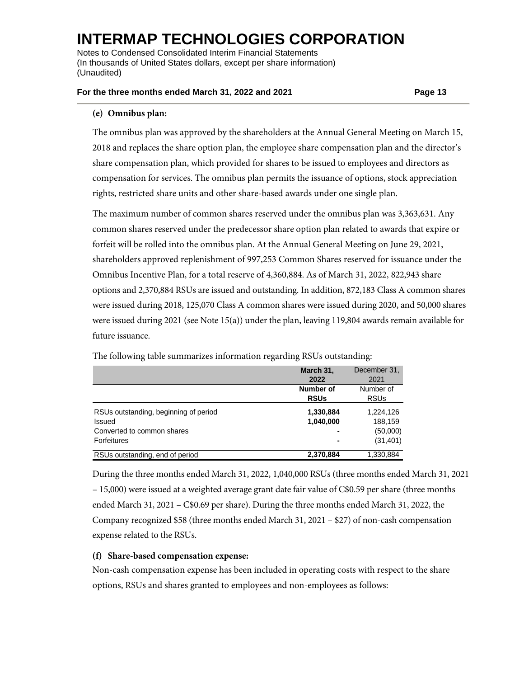Notes to Condensed Consolidated Interim Financial Statements (In thousands of United States dollars, except per share information) (Unaudited)

## **For the three months ended March 31, 2022 and 2021 Page 13**

## **(e) Omnibus plan:**

The omnibus plan was approved by the shareholders at the Annual General Meeting on March 15, 2018 and replaces the share option plan, the employee share compensation plan and the director's share compensation plan, which provided for shares to be issued to employees and directors as compensation for services. The omnibus plan permits the issuance of options, stock appreciation rights, restricted share units and other share-based awards under one single plan.

The maximum number of common shares reserved under the omnibus plan was 3,363,631. Any common shares reserved under the predecessor share option plan related to awards that expire or forfeit will be rolled into the omnibus plan. At the Annual General Meeting on June 29, 2021, shareholders approved replenishment of 997,253 Common Shares reserved for issuance under the Omnibus Incentive Plan, for a total reserve of 4,360,884. As of March 31, 2022, 822,943 share options and 2,370,884 RSUs are issued and outstanding. In addition, 872,183 Class A common shares were issued during 2018, 125,070 Class A common shares were issued during 2020, and 50,000 shares were issued during 2021 (see Note 15(a)) under the plan, leaving 119,804 awards remain available for future issuance.

|                                                                                                     | March 31,<br>2022        | December 31,<br>2021                          |
|-----------------------------------------------------------------------------------------------------|--------------------------|-----------------------------------------------|
|                                                                                                     | Number of<br><b>RSUs</b> | Number of<br><b>RSUs</b>                      |
| RSUs outstanding, beginning of period<br>Issued<br>Converted to common shares<br><b>Forfeitures</b> | 1,330,884<br>1,040,000   | 1,224,126<br>188,159<br>(50,000)<br>(31, 401) |
| RSUs outstanding, end of period                                                                     | 2,370,884                | 1,330,884                                     |

The following table summarizes information regarding RSUs outstanding:

During the three months ended March 31, 2022, 1,040,000 RSUs (three months ended March 31, 2021 – 15,000) were issued at a weighted average grant date fair value of C\$0.59 per share (three months ended March 31, 2021 – C\$0.69 per share). During the three months ended March 31, 2022, the Company recognized \$58 (three months ended March 31, 2021 – \$27) of non-cash compensation expense related to the RSUs.

## **(f) Share-based compensation expense:**

Non-cash compensation expense has been included in operating costs with respect to the share options, RSUs and shares granted to employees and non-employees as follows: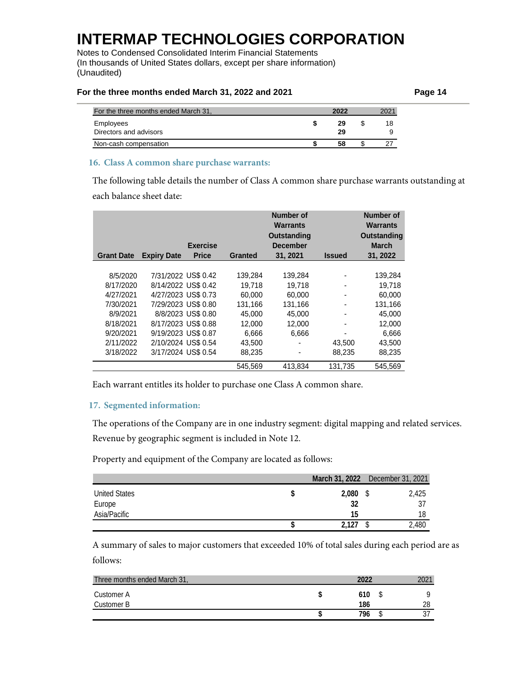Notes to Condensed Consolidated Interim Financial Statements (In thousands of United States dollars, except per share information) (Unaudited)

### For the three months ended March 31, 2022 and 2021

| Page 14 |
|---------|
|---------|

| For the three months ended March 31, | 2022     | 2021 |
|--------------------------------------|----------|------|
| Employees<br>Directors and advisors  | 29<br>29 | 18   |
| Non-cash compensation                | 58       |      |

## **16. Class A common share purchase warrants:**

The following table details the number of Class A common share purchase warrants outstanding at each balance sheet date:

|                   |                     |                    |                | <b>Number of</b><br>Warrants |                              | <b>Number of</b><br><b>Warrants</b> |
|-------------------|---------------------|--------------------|----------------|------------------------------|------------------------------|-------------------------------------|
|                   |                     |                    |                | Outstanding                  |                              | <b>Outstanding</b>                  |
|                   |                     | <b>Exercise</b>    |                | <b>December</b>              |                              | <b>March</b>                        |
| <b>Grant Date</b> | <b>Expiry Date</b>  | <b>Price</b>       | <b>Granted</b> | 31, 2021                     | <b>Issued</b>                | 31, 2022                            |
|                   |                     |                    |                |                              |                              |                                     |
| 8/5/2020          | 7/31/2022 US\$ 0.42 |                    | 139,284        | 139,284                      | $\qquad \qquad \blacksquare$ | 139,284                             |
| 8/17/2020         | 8/14/2022 US\$ 0.42 |                    | 19.718         | 19.718                       |                              | 19.718                              |
| 4/27/2021         | 4/27/2023 US\$ 0.73 |                    | 60.000         | 60.000                       | -                            | 60,000                              |
| 7/30/2021         | 7/29/2023 US\$ 0.80 |                    | 131,166        | 131,166                      |                              | 131,166                             |
| 8/9/2021          |                     | 8/8/2023 US\$ 0.80 | 45.000         | 45.000                       | -                            | 45,000                              |
| 8/18/2021         | 8/17/2023 US\$ 0.88 |                    | 12.000         | 12.000                       |                              | 12.000                              |
| 9/20/2021         | 9/19/2023 US\$ 0.87 |                    | 6,666          | 6,666                        |                              | 6,666                               |
| 2/11/2022         | 2/10/2024 US\$ 0.54 |                    | 43,500         |                              | 43,500                       | 43,500                              |
| 3/18/2022         | 3/17/2024 US\$ 0.54 |                    | 88,235         |                              | 88,235                       | 88,235                              |
|                   |                     |                    | 545.569        | 413.834                      | 131.735                      | 545.569                             |

Each warrant entitles its holder to purchase one Class A common share.

## **17. Segmented information:**

The operations of the Company are in one industry segment: digital mapping and related services. Revenue by geographic segment is included in Note 12.

Property and equipment of the Company are located as follows:

|                      |       | March 31, 2022 December 31, 2021 |
|----------------------|-------|----------------------------------|
| <b>United States</b> | 2,080 | 2,425                            |
| Europe               | 32    | 37                               |
| Asia/Pacific         | 15    | 18                               |
|                      | 2.127 | 2,480                            |

A summary of sales to major customers that exceeded 10% of total sales during each period are as follows:

| Three months ended March 31, | 2022       | ∩∩1 |
|------------------------------|------------|-----|
| Customer A<br>Customer B     | 610<br>186 | 28  |
|                              | 796        |     |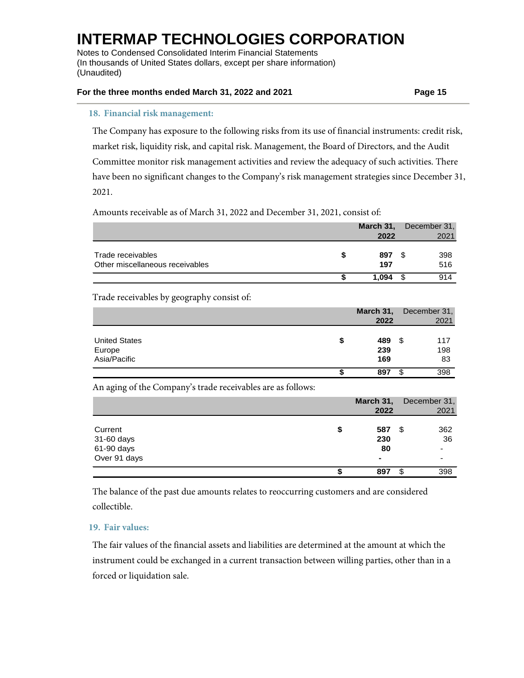Notes to Condensed Consolidated Interim Financial Statements (In thousands of United States dollars, except per share information) (Unaudited)

### **For the three months ended March 31, 2022 and 2021 Page 15**

#### **18. Financial risk management:**

The Company has exposure to the following risks from its use of financial instruments: credit risk, market risk, liquidity risk, and capital risk. Management, the Board of Directors, and the Audit Committee monitor risk management activities and review the adequacy of such activities. There have been no significant changes to the Company's risk management strategies since December 31, 2021.

## Amounts receivable as of March 31, 2022 and December 31, 2021, consist of:

|                                 | March 31, | December 31, |
|---------------------------------|-----------|--------------|
|                                 | 2022      | 2021         |
|                                 |           |              |
| Trade receivables               | 897       | 398          |
| Other miscellaneous receivables | 197       | 516          |
|                                 | 1.094     | 914          |

## Trade receivables by geography consist of:

|                                                | March 31,<br>2022       | December 31,<br>2021    |
|------------------------------------------------|-------------------------|-------------------------|
| <b>United States</b><br>Europe<br>Asia/Pacific | \$<br>489<br>239<br>169 | -\$<br>117<br>198<br>83 |
|                                                | 897                     | 398<br>\$               |

An aging of the Company's trade receivables are as follows:

|              | March 31,      | December 31, |
|--------------|----------------|--------------|
|              | 2022           | 2021         |
|              |                |              |
| Current      | \$<br>587      | 362<br>\$    |
| 31-60 days   | 230            | 36           |
| 61-90 days   | 80             | ٠            |
| Over 91 days | $\blacksquare$ | -            |
|              | \$<br>897      | 398<br>\$    |

The balance of the past due amounts relates to reoccurring customers and are considered collectible.

## **19. Fair values:**

The fair values of the financial assets and liabilities are determined at the amount at which the instrument could be exchanged in a current transaction between willing parties, other than in a forced or liquidation sale.